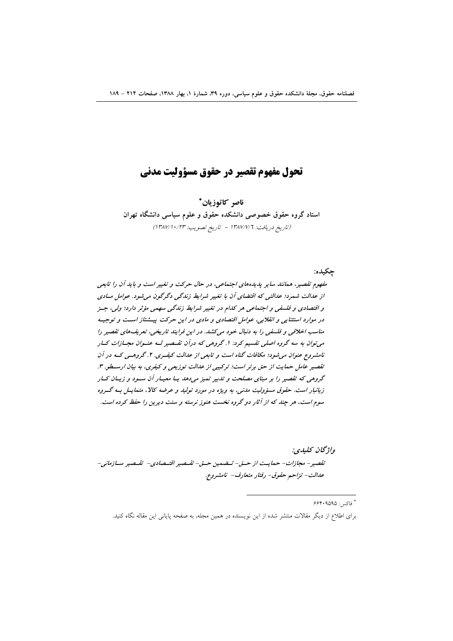## تحول مفهوم تقصير در حقوق مسؤوليت مدنى

ناصر كاتوزيان\* استاد گروه حقوق خصوصی دانشکده حقوق و علوم سیاسی دانشگاه تهران (تاريخ دريافت: ١٣٨٧/٧/٦ - تاريخ تصويب: ١٣٨٧/١٠/٢٣)

حكىدە:

مفهوم تقصیر، همانند سایر پدیدههای اجتماعی، در حال حرکت و تغییر است و باید آن را تابعی از عدالت شمرد؛ عدالتی که اقتضای آن با تغییر شرایط زندگی دگرگون می شود. عوامل مبادی و اقتصادی و فلسفی و اجتماعی هر کدام در تغییر شرایط زندگی سهمی مؤثر دارد؛ ولی، جـز در موارد استثنایی و انقلابی، عوامل اقتصادی و مادی در این حرکت پیشتاز است و توجیه مناسب اخلاقی و فلسفی را به دنبال خود میکشد. در این فرایند تاریخی، تعریف های تقصیر را می توان به سه گروه اصلی تقسیم کرد: ۱. گروهی که درآن تقسصیر لسه عنسوان مجسازات کسار نامشروع عنوان می شود؛ مکافات گناه است و تابعی از عدالت کیفری. ۲. گروهسی کـه در آن تقصير عامل حمايت از حق برتر است؛ تركيبي از عدالت توزيعي و كيفري، به بيان ارسطو. ٣. گروهی که تقصیر را بر مبنای مصلحت و تدبیر تمیز میدهد یـا معیـار آن سـود و زیـان کـار زیانبار است. حقوق مسؤولیت مدنی، به ویژه در مورد تولید و عرضه کالا، متمایس بسه گسروه سوم است، هر چند که از آثار دو گروه نخست هنوز نرسته و سنت دیرین را حفظ کرده است.

واژىخان كىلىدى: تقصير – مجازات – حمايت از حتى – تــضمين حــق – تقــصير اقتــصادى – تقــصير ســازماني – عدالت- تزاحم حقوق- رفتار متعارف- نامشروع.

\* فاكس: ۶۶۴۰۹۵۹۵

برای اطلاع از دیگر مقالات منتشر شده از این نویسنده در همین مجله، به صفحه پایانی این مقاله نگاه کنید.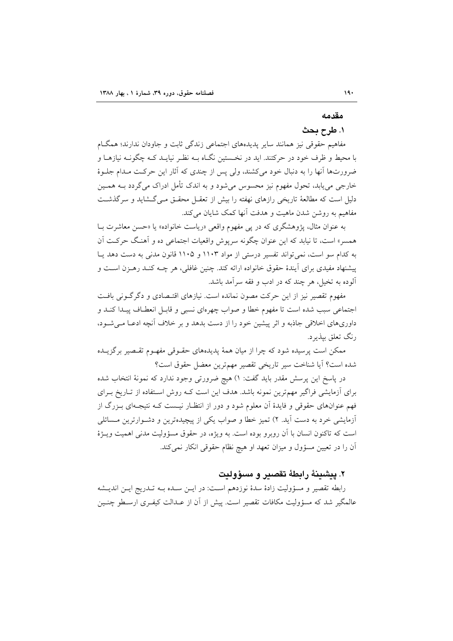## مقدمه

## ١. طرح بحث

مفاهیم حقوقی نیز همانند سایر پدیدههای اجتماعی زندگی ثابت و جاودان ندارند؛ همگـام با محیط و ظرف خود در حرکتند. اید در نخـستین نگـاه بــه نظـر نیایــد کــه چگونــه نیازهــا و ضرورتها أنها را به دنبال خود میکشند، ولی پس از چندی که آثار این حرکت مـدام جلــوهٔ خارجي مي يابد، تحول مفهوم نيز محسوس مي شود و به اندک تأمل ادراک مي گردد بــه همــين دلیل است که مطالعهٔ تاریخی رازهای نهفته را بیش از تعقـل محقـق مـی گـشاید و سرگذشـت مفاهیم به روشن شدن ماهیت و هدفت آنها کمک شایان مر کند.

به عنوان مثال، پژوهشگری که در یی مفهوم واقعی «ریاست خانواده» یا «حسن معاشرت بـا همسر» است، تا نیابد که این عنوان چگونه سرپوش واقعیات اجتماعی ده و آهنگ حرکت آن به کدام سو است، نمی تواند تفسیر درستی از مواد ۱۱۰۳ و ۱۱۰۵ قانون مدنی به دست دهد یـا پیشنهاد مفیدی برای آیندهٔ حقوق خانواده ارائه کند. چنین غافلی، هر چــه کنــد رهــزن اسـت و آلوده به تخیل، هر چند که در ادب و فقه سرآمد باشد.

مفهوم تقصیر نیز از این حرکت مصون نمانده است. نیازهای اقتـصادی و دگر گــونی بافــت اجتماعي سبب شده است تا مفهوم خطا و صواب چهرهاي نسبي و قابـل انعطـاف پيـدا كنـد و داوریهای اخلاقی جاذبه و اثر پیشین خود را از دست بدهد و بر خلاف آنچه ادعـا مـیشـود، رنگ تعلق بيذيرد.

ممکن است پرسیده شود که چرا از میان همهٔ پدیدههای حقـوقی مفهـوم تقـصیر برگزیــده شده است؟ آيا شناخت سير تاريخي تقصير مهمترين معضل حقوق است؟

در پاسخ این پرسش مقدر باید گفت: ۱) هیچ ضرورتی وجود ندارد که نمونهٔ انتخاب شده برای آزمایشی فراگیر مهمترین نمونه باشد. هدف این است کـه روش اسـتفاده از تــاریخ بــرای فهم عنوانهای حقوقی و فایدهٔ آن معلوم شود و دور از انتظـار نیـست کـه نتیجـهای بـزرگ از أزمايشي خرد به دست آيد. ٢) تميز خطا و صواب يكي از پيچيدهترين و دشـوارترين مـسائلي است که تاکنون انسان با آن روبرو بوده است. به ویژه، در حقوق مسؤولیت مدنی اهمیت ویـژهٔ آن را در تعیین مسؤول و میزان تعهد او هیچ نظام حقوقی انکار نمی کند.

## ٢. ييشينهٔ رابطهٔ تقصير و مسؤوليت

رابطه تقصير و مسؤوليت زادهٔ سدهٔ نوزدهم اسـت: در ايــن سـده بــه تــدريج ايــن انديــشه عالمگیر شد که مسؤولیت مکافات تقصیر است. پیش از آن از عـدالت کیفـری ارسـطو چنـین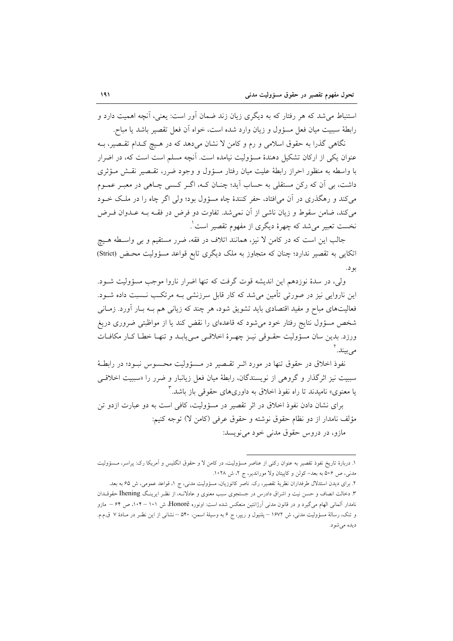استنباط می شد که هر رفتار که به دیگری زیان زند ضمان آور است: یعنی، آنچه اهمیت دارد و رابطة سببيت ميان فعل مسؤول و زيان وارد شده است، خواه آن فعل تقصير باشد يا مباح.

نگاهی گذرا به حقوق اسلامی و رم و کامن لا نشان میدهد که در هیچ کـدام تقـصیر، بـه عنوان یکی از ارکان تشکیل دهندهٔ مسؤولیت نیامده است. آنچه مسلم است است که، در اضرار با واسطه به منظور احراز رابطهٔ علیت میان رفتار مسؤول و وجود ضرر، تقـصیر نقـش مـؤثری داشت، بی آن که رکن مستقلی به حساب آید؛ چنـان کـه، اگـر کـسی چـاهی در معبـر عمـوم می کند و رهگذری در آن می افتاد، حفر کنندهٔ چاه مسؤول بود؛ ولی اگر چاه را در ملک خـود می کند، ضامن سقوط و زیان ناشی از آن نمی شد. تفاوت دو فرض در فقــه بــه عــدوان فــرض نخست تعبیر میشد که چهرهٔ دیگری از مفهوم تقصیر است ْ.

جالب این است که در کامن لا نیز، همانند اتلاف در فقه، ضرر مستقیم و بی واسطه هـیچ اتکایی به تقصیر ندارد؛ چنان که متجاوز به ملک دیگری تابع قواعد مسؤولیت محـض (Strict) بو د.

ولي، در سدهٔ نوزدهم اين انديشه قوت گرفت كه تنها اضرار ناروا موجب مسؤوليت شـود. این ناروایی نیز در صورتی تأمین میشد که کار قابل سرزنشی بـه مرتکـب نــسبت داده شــود. فعالیتهای مباح و مفید اقتصادی باید تشویق شود، هر چند که زیانی هم بـه بـار آورد. زمـانی شخص مسؤول نتايج رفتار خود مى شود كه قاعدهاى را نقض كند يا از مواظبتى ضرورى دريغ ورزد. بدین سان مسؤولیت حقـوقی نیـز چهـرهٔ اخلاقـی مـیbیابـد و تنهـا خطـا کـار مکافـات مے سند. آ

نفوذ اخلاق در حقوق تنها در مورد اثـر تقـصیر در مـسؤولیت محـسوس نبــود؛ در رابطــهٔ سببیت نیز اثرگذار و گروهی از نویسندگان، رابطهٔ میان فعل زیانبار و ضرر را «سببیت اخلاق<sub>عی</sub> یا معنوی» نامیدند تا راه نفوذ اخلاق به داوریهای حقوقی باز باشد.<sup>۳</sup>

برای نشان دادن نفوذ اخلاق در اثر تقصیر در مسؤولیت، کافی است به دو عبارت ازدو تن مؤلف نامدار از دو نظام حقوق نوشته و حقوق عرفی (کامن لا) توجه کنیم:

مازو، در دروس حقوق مدنی خود می نویسد:

١. دربارهٔ تاریخ نفوذ تقصیر به عنوان رکنی از عناصر مسؤولیت، در کامن لا و حقوق انگلیس و اَمریکا رک: پراسر، مـسؤولیت مدنی، ص ۵۰۶ به بعد- کولن و کاپیتان ولا موراندیر، ج ۲، ش ۱۰۲۸.

۲. برای دیدن استدلال طرفداران نظریهٔ تقصیر، رک. ناصر کاتوزیان، مسؤولیت مدنی، ج ۱، قواعد عمومی، ش ۶۵ به بعد. ۳. دخالت انصاف و حسن نیت و اشراق دادرس در جستجوی سبب معنوی و عادلانــه، از نظـر ایرینـگ Ihening حقوقــدان نامدار آلمانی الهام میگیرد و در قانون مدنی آرژانتین منعکس شده است: اونوره Honoré، ش ۱۰۱ – ۱۰۴، ص ۶۴ – مازو و تنک، رسالهٔ مسؤولیت مدنی، ش ۱۶۷۲ – پلنیول و ریپر، ج ۶ به وسیلهٔ اسمن، ۵۴۰ – نشانی از این نظر در مـادهٔ ۷ ق.م.م. ديده مي شود.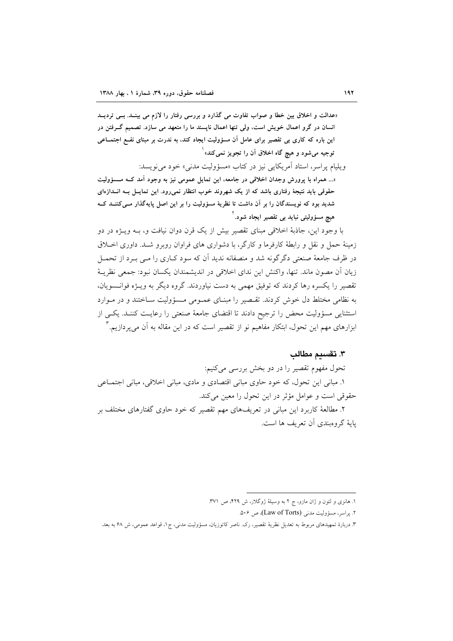«عدالت و اخلاق بین خطا و صواب تفاوت می گذارد و بررسی رفتار را لازم می بینـد. بـی تردیــد انسان در گرو اعمال خویش است. ولی تنها اعمال ناپسند ما را متعهد می سازد. تصمیم گــرفتن در این باره که کاری بی تقصیر برای عامل آن مسؤولیت ایجاد کند. به ندرت بر مبنای نفـع اجتمــاعی توجيه مي شود و هيچ گاه اخلاق آن را تجويز نمي *ک*ند» ٰ

ويليام پراسر، استاد آمريكايي نيز در كتاب «مسؤوليت مدني» خود مي نويسد:

«... همراه با پرورش وجدان اخلاقی در جامعه، این تمایل عمومی نیز به وجود آمد کـه مـــــوولیت حقوقی باید نتیجهٔ رفتاری باشد که از یک شهروند خوب انتظار نمی رود. این تمایــل بــه انــدازهای شدید بود که نویسندگان را بر آن داشت تا نظریهٔ مسؤولیت را بر این اصل پایهگذار مــیکننــد کــه هیچ مسؤولیتی نباید بی تقصیر ایجاد شود.<sup>۱</sup>

با وجود این، جاذبهٔ اخلاقی مبنای تقصیر بیش از یک قرن دوان نیافت و، بــه ویــژه در دو زمینهٔ حمل و نقل و رابطهٔ کارفرما و کارگر، با دشواری های فراوان روبرو شـد. داوری اخـلاق در ظرف جامعهٔ صنعتی دگرگونه شد و منصفانه ندید آن که سود کـاری را مـی بـرد از تحمــل زيان آن مصون ماند. تنها، واكنش اين نداي اخلاقي در انديشمندان يكسان نبود: جمعي نظريـهٔ تقصیر را یکسره رها کردند که توفیق مهمی به دست نیاوردند. گروه دیگر به ویـژه فوانــسویان، به نظامی مختلط دل خوش کردند. تقسصیر را مبنای عمـومی مـسؤولیت سـاختند و در مـوارد استثنایی مسؤولیت محض را ترجیح دادند تا اقتضای جامعهٔ صنعتی را رعایت کننـد. یکـی از ابزارهای مهم این تحول، ابتکار مفاهیم نو از تقصیر است که در این مقاله به آن میbپردازیم. '

٣. تقسيم مطالب

تحول مفهوم تقصیر را در دو بخش بررسی میکنیم: ١. مباني اين تحول، كه خود حاوي مباني اقتصادي و مادي، مباني اخلاقي، مباني اجتمـاعي حقوقی است و عوامل مؤثر در این تحول را معین می کند.

۲. مطالعهٔ کاربرد این مبانی در تعریفهای مهم تقصیر که خود حاوی گفتارهای مختلف بر بايهٔ گروهبندي آن تعريف ها است.

١. هانزي و لئون و ژان مازو، ج ٢ به وسيلهٔ ژوگلار، ش ٢٢٩، ص ٣٧١.

۲. يواسو، مسؤوليت مدني (Law of Torts)، ص ۵۰۶.

۳. دربارهٔ تمهیدهای مربوط به تعدیل نظریهٔ تقصیر، رک. ناصر کاتوزیان، مسؤولیت مدنی، ج۱، قواعد عمومی، ش ۶۸ به بعد.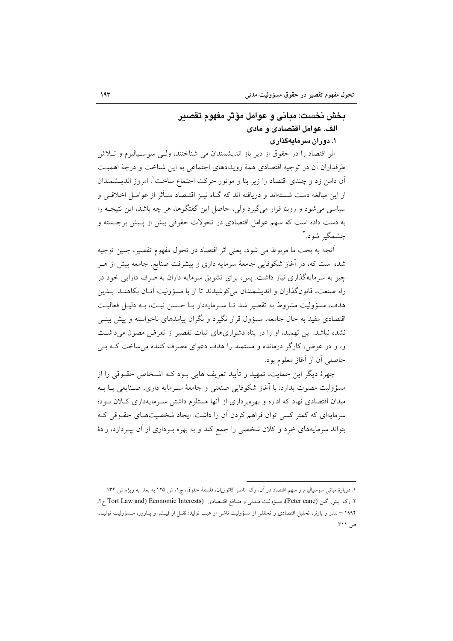## بخش نخست: مباني و عوامل مؤثر مفهوم تقصير الف. عوامل اقتصادي و مادي ۱. دوران سرمایهگذاری

اثر اقتصاد را در حقوق از دیر باز اندیشمندان می شناختند، ولـی سوسـیالیزم و تـلاش طرفداران آن در توجیه اقتصادی همهٔ رویدادهای اجتماعی به این شناخت و درجهٔ اهمیت آن دامن زد و چندی اقتصاد را زیر بنا و موتور حرکت اجتماع ساخت'. امروز اندیــشمندان از این مبالغه دست شستهاند و دریافته اند که گــاه نیــز اقتــصاد متــأثر از عوامــل اخلاقــی و سیاسی می شود و روبنا قرار می گیرد ولی، حاصل این گفتگوها، هر چه باشد، این نتیجـه را به دست داده است که سهم عوامل اقتصادی در تحولات حقوقی بیش از پـیش برجـسته و چشمگیر شود.'

آنچه به بحث ما مربوط می شود، یعنی اثر اقتصاد در تحول مفهوم تقصیر، چنین توجیه شده است که، در آغاز شکوفایی جامعهٔ سرمایه داری و پیشرفت صنایع، جامعه بیش از هـر چیز به سرمایهگذاری نیاز داشت. پس، برای تشویق سرمایه داران به صرف دارایی خود در راه صنعت، قانونگذاران و اندیشمندان میکوشیدند تا از با مسؤولیت آنان بکاهنـد. بـدین هدف، مسؤوليت مشروط به تقصير شد تــا ســرمايهدار بــا حــسن نيــت، بــه دليــا, فعاليــت اقتصادی مفید به حال جامعه، مسؤول قرار نگیرد و نگران پیامدهای ناخواسته و پیش بینــی نشده نباشد. این تهمید، او را در پناه دشواریهای اثبات تقصیر از تعرض مصون میداشت و، و در عوض، کارگر درمانده و مستمند را هدف دعوای مصرف کننده می ساخت کـه بــی حاصلي أن از أغاز معلوم بود.

چهرهٔ دیگر این حمایت، تمهید و تأیید تعریف هایی بـود کـه اشـخاص حقـوقی را از مسؤوليت مصوت بدارد: با آغاز شكوفايي صنعتي و جامعهٔ سـرمايه داري، صـنايعي پــا بــه میدان اقتصادی نهاد که اداره و بهرهبرداری از آنها مستلزم داشتن سـرمایهداری کــلان بــود؛ سرمایهای که کمتر کسی توان فراهم کردن آن را داشت. ایجاد شخصیتهـای حقـوقی کـه بتواند سرمایههای خرد و کلان شخصی را جمع کند و به بهره بـرداری از آن بپـردازد، زادهٔ

۱. دربارهٔ مبانی سوسیالیزم و سهم اقتصاد در آن، رک. ناصر کاتوزیان، فلسفهٔ حقوق، ج۱، ش ۱۲۵ به بعد. به ویژه ش ۱۳۴. ۲. رک. پیترر گین (Peter cane)، مسؤولیت مـدنبی و منـافع اقتـصادی (Tort Law and) Economic Interests ج۲. ۱۹۹۴ – لندز و پازنر، تحلیل اقتصادی و تحققی از مسؤولیت ناشی از عیب تولید: نقـل از فیـشر و پـاورز، مـسؤولیت تولیـد، ص ۲۱۱.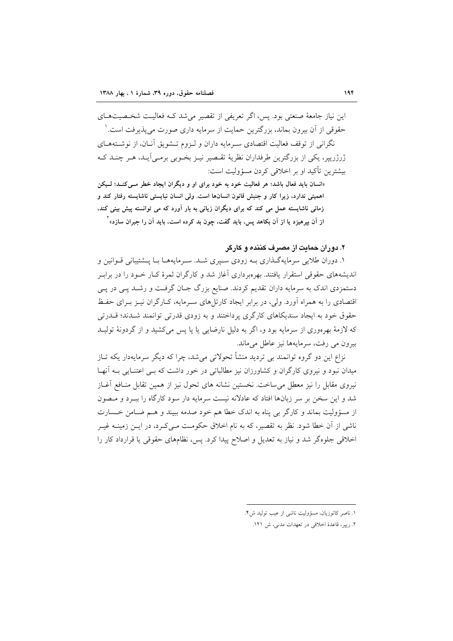این نیاز جامعهٔ صنعتی بود. پس، اگر تعریفی از تقصیر می شد کـه فعالیـت شخـصیتهـای حقوقی از آن بیرون بماند، بزرگترین حمایت از سرمایه داری صورت می پذیرفت است. ۷ نگرانی از توقف فعالیت اقتصادی سـرمایه داران و لـزوم تـشویق آنـان، از نوشـتههـای ژرژرییر، یکی از بزرگترین طرفداران نظریهٔ تقـصیر نیـز بخـوبی برمـی]یـد، هـر چنـد کـه بیشترین تأکید او بر اخلاقی کردن مسؤولیت است:

«انسان باید فعال باشد؛ هر فعالیت خود به خود برای او و دیگران ایجاد خطر مـی کنـد؛ لـیکن اهميتي ندارد، زيرا كار و جنبش قانون انسانها است. ولي انسان نبايستي ناشايسته رفتار كند و زمانی ناشایسته عمل می کند که برای دیگران زیانی به بار آورد که می توانسته پیش بینی کند. از آن بیرهیزد یا از آن بکاهد پس، باید گفت، چون بد کرده است، باید آن را جبران سازد»<sup>۲</sup>

۲. دوران حمایت از مصرف کننده و کارگر

۱. دوران طلایی سرمایهگذاری بـه زودی سـپری شـد. سـرمایههـا بـا پــشتیبانی قــوانین و اندیشههای حقوقی استقرار یافتند. بهرهبرداری آغاز شد و کارگران ثمرهٔ کـار خـود را در برابـر دستمزدي اندک به سرمايه داران تقديم کردند. صنايع بزرگ جـان گرفـت و رشـد پـي در پـي اقتصادی را به همراه آورد. ولی، در برابر ایجاد کارتلهای سـرمایه، کـارگران نیـز بـرای حفـظ حقوق خود به ایجاد سندیکاهای کارگری پرداختند و به زودی قدرتی توانمند شـدند؛ قــدرتی که لازمهٔ بهرهوری از سرمایه بود و، اگر به دلیل نارضایی یا یا پس میکشید و از گردونهٔ تولیـد بيرون مي رفت، سرمايهها نيز عاطل مي ماند.

نزاع این دو گروه توانمند بی تردید منشأ تحولاتی می شد، چرا که دیگر سرمایهدار یکه تـاز میدان نبود و نیروی کارگران و کشاورزان نیز مطالباتی در خور داشت که بے اعتنـایی بـه آنهـا نیروی مقابل را نیز معطل میساخت. نخستین نشانه های تحول نیز از همین تقابل منافع آغـاز شد و این سخن بر سر زبانها افتاد که عادلانه نیست سرمایه دار سود کارگاه را ببـرد و مـصون از مسؤوليت بماند و كارگر بي پناه به اندک خطا هم خود صدمه ببيند و هـم ضـامن خـسارت ناشی از آن خطا شود. نظر به تقصیر، که به نام اخلاق حکومت مـی٤کـرد، در ایــن زمینــه غیــر اخلاقی جلوهگر شد و نیاز به تعدیل و اصلاح پیدا کرد. پس، نظامهای حقوقی یا قرارداد کار را

١. ناصر كاتوزيان، مسؤوليت ناشي از عيب توليد ش۴.

٢. ريير، قاعدة اخلاقى در تعهدات مدنى، ش ١٢١.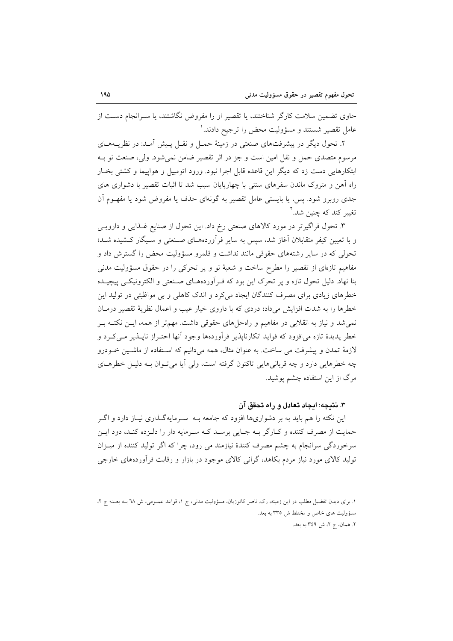حاوی تضمین سلامت کارگر شناختند، یا تقصیر او را مفروض نگاشتند، یا سـرانجام دسـت از عامل تقصیر شستند و مسؤولیت محض را ترجیح دادند. `

۲. تحول دیگر در پیشرفتهای صنعتی در زمینهٔ حمـل و نقـل پـیش آمـد: در نظریــههـای مرسوم متصدی حمل و نقل امین است و جز در اثر تقصیر ضامن نمی شود. ولی، صنعت نو بـه ابتکارهایی دست زد که دیگر این قاعده قابل اجرا نبود. ورود اتومبیل و هواپیما و کشتی بخـار راه آهن و متروک ماندن سفرهای سنتی با چهارپایان سبب شد تا اثبات تقصیر با دشواری های جدی روبرو شود. پس، یا بایستی عامل تقصیر به گونهای حذف یا مفروض شود یا مفهـوم آن تغییر کند که چنین شد.<sup>۲</sup>

۳. تحول فراگیرتر در مورد کالاهای صنعتی رخ داد. این تحول از صنایع غـذایی و دارویـی و با تعیین کیفر متقابلان آغاز شد، سپس به سایر فرآوردههـای صـنعتی و سـیگار کـشیده شـد؛ تحولی که در سایر رشتههای حقوقی مانند نداشت و قلمرو مسؤولیت محض را گسترش داد و مفاهیم تازهای از تقصیر را مطرح ساخت و شعبهٔ نو و پر تحرکی را در حقوق مسؤولیت مدنی بنا نهاد. دلیل تحول تازه و پر تحرک این بود که فـراَوردههـای صـنعتی و الکترونیکـی پیچیـده خطرهای زیادی برای مصرف کنندگان ایجاد میکرد و اندک کاهلی و بی مواظبتی در تولید این خطرها را به شدت افزایش می داد؛ دردی که با داروی خیار عیب و اعمال نظریهٔ تقصیر درمـان نمی شد و نیاز به انقلابی در مفاهیم و راهحل های حقوقی داشت. مهمتر از همه، ایــن نکتــه بــر خطر پدیدهٔ تازه میافزود که فواید انکارناپذیر فرآوردهها وجود آنها احتـراز ناپــذیر مــیکـرد و لازمهٔ تمدن و پیشرفت می ساخت. به عنوان مثال، همه میدانیم که استفاده از ماشـین خـودرو چه خطرهایی دارد و چه قربانی هایی تاکنون گرفته است، ولی آیا می تـوان بـه دلیـل خطرهـای مرگ از این استفاده چشم پوشید.

۳. نتیجه: ایجاد تعادل و راه تحقق آن

این نکته را هم باید به بر دشواریها افزود که جامعه بـه سـرمایهگـذاری نیـاز دارد و اگـر حمایت از مصرف کننده و کـارگر بـه جـایی برسـد کـه سـرمایه دار را دلـزده کنـد، دود ایـن سرخوردگی سرانجام به چشم مصرف کنندهٔ نیازمند می رود، چرا که اگر تولید کننده از میبزان تولید کالای مورد نیاز مردم بکاهد، گرانی کالای موجود در بازار و رقابت فرأوردههای خارجی

١. برای دیدن تفضیل مطلب در این زمینه، رک. ناصر کاتوزیان، مسؤولیت مدنی، ج ١، قواعد عمــومی، ش ٦٨ بــه بعــد؛ ج ٢، مسؤولیت های خاص و مختلط ش ۳۳۵ به بعد. ٢. همان، ج ٢، ش ٣٤٩ به بعد.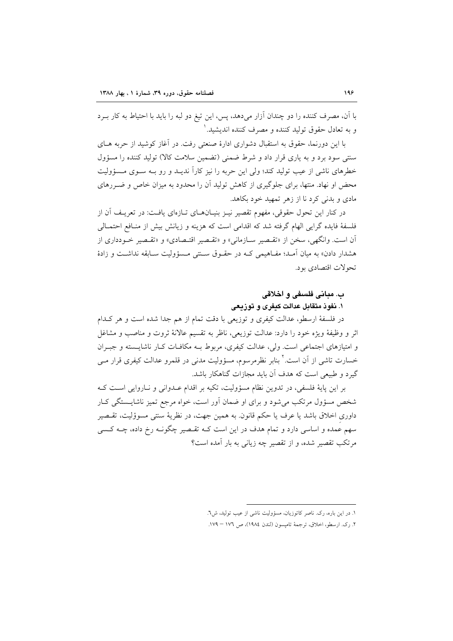با آن، مصرف کننده را دو چندان آزار میدهد، پس، این تیغ دو لبه را باید با احتیاط به کار بـرد و به تعادل حقوق توليد كننده و مصرف كننده انديشيد. '

با این دورنما، حقوق به استقبال دشواری ادارهٔ صنعتی رفت. در آغاز کوشید از حربه هـای سنتی سود برد و به یاری قرار داد و شرط ضمنی (تضمین سلامت کالا) تولید کننده را مسؤول خطرهای ناشی از عیب تولید کند؛ ولی این حربه را نیز کاراً ندیــد و رو بــه ســوی مــسؤولیت محض او نهاد. منتها، برای جلوگیری از کاهش تولید آن را محدود به میزان خاص و ضـررهای مادي و بدنې کړد نا از زهر تمهيد خود بکاهد.

در کنار این تحول حقوقی، مفهوم تقصیر نیـز بنیـان۱مـای تــازهای یافـت: در تعریـف آن از فلسفهٔ فایده گرایی الهام گرفته شد که اقدامی است که هزینه و زیانش بیش از منـافع احتمـالی آن است. وانگهی، سخن از «تقـصیر سـازمانی» و «تقـصیر اقتـصادی» و «تقـصیر خـودداری از هشدار دادن» به میان آمـد؛ مفـاهیمی کـه در حقـوق سـنتی مـسؤولیت سـابقه نداشـت و زادهٔ تحولات اقتصادی بود.

# ب. مباني فلسفي و اخلاقي

## ۱. نفوذ متقابل عدالت کیفری و توزیعی

در فلسفهٔ ارسطو، عدالت کیفری و توزیعی با دقت تمام از هم جدا شده است و هر کـدام اثر و وظيفهٔ ويژه خود را دارد: عدالت توزيعي، ناظر به تقسيم عالانهٔ ثروت و مناصب و مشاغل و امتیازهای اجتماعی است. ولی، عدالت کیفری، مربوط بـه مکافـات کـار ناشایـسته و جبـران خسارت تاشی از آن است.<sup>۲</sup> بنابر نظرمرسوم، مسؤولیت مدنی در قلمرو عدالت کیفری قرار مــی گیرد و طبیعی است که هدف آن باید مجازات گناهکار باشد.

بر این پایهٔ فلسفی، در تدوین نظام مسؤولیت، تکیه بر اقدام عـدوانی و نـاروایی اسـت کـه شخص مسؤول مرتکب میشود و برای او ضمان اَور است، خواه مرجع تمیز ناشایــستگی کـار داوری اخلاق باشد یا عرف یا حکم قانون به همین جهت، در نظریهٔ سنتی مسوؤلیت، تقسصیر سهم عمده و اساسی دارد و تمام هدف در این است کـه تقـصیر چگونـه رخ داده، چـه کـسی مرتکب تقصیر شده، و از تقصیر چه زیانی به بار آمده است؟

١. در اين باره، رک. ناصر كاتوزيان، مسؤوليت ناشى از عيب توليد، ش٦.

٢. رک. ارسطو، اخلاق، ترجمهٔ تامپسون (لندن ١٩٨٤)، ص ١٧٦ – ١٧٩.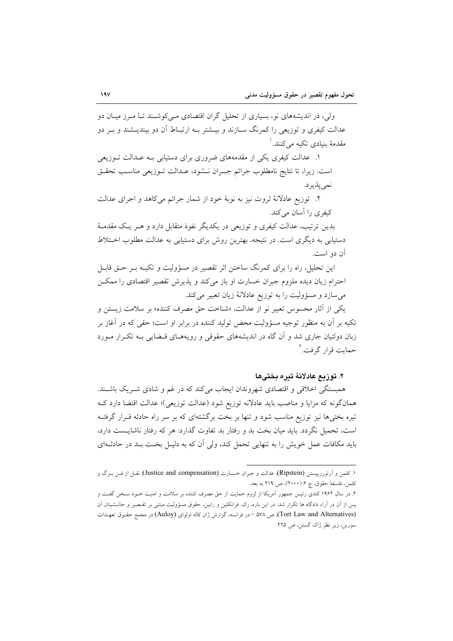ولی، در اندیشههای نو، بسیاری از تحلیل گران اقتصادی مے کوشـند تـا مـرز میـان دو عدالت کیفری و توزیعی را کمرنگ ســازند و بیــشتر بــه ارتبــاط آن دو بیندیــشند و بــر دو مقدمهٔ بنیادی تکیه مے کنند. ٰ

۱. عدالت کیفری یکی از مقدمههای ضروری برای دستیابی بـه عــدالت تــوزیعی است. زيرا، تا نتايج نامطلوب جرائم جبـران نـشود، عــدالت تــوزيعي مناسـب تحقــق نمي پذيرد.

۲. توزیع عادلانهٔ ثروت نیز به نوبهٔ خود از شمار جرائم میکاهد و اجرای عدالت کیفری را آسان میکند.

بدین ترتیب، عدالت کیفری و توزیعی در یکدیگر نفوذ متقابل دارد و هــر یـک مقدمــهٔ دستیابی به دیگری است. در نتیجه، بهترین روش برای دستیابی به عدالت مطلوب اختلاط آن دو است.

این تحلیل، راه را برای کمرنگ ساختن اثر تقصیر در مسؤولیت و تکیـه بـر حــق قابــل احترام زیان دیده ملزوم جبران خسارت او باز میکند و پذیرش تقصیر اقتصادی را ممکن می سازد و مسؤولیت را به توزیع عادلانهٔ زیان تعبیر می کند.

يكي از آثار محسوس تعبير نو از عدالت، «شناخت حق مصرف كننده» بر سلامت زيستن و تکیه بر آن به منظور توجیه مسؤولیت محض تولید کننده در برابر او است؛ حقی که در آغاز بر زبان دولتیان جاری شد و آن گاه در اندیشههای حقوقی و رویههـای قـضایی بـه تکـرار مـورد حمایت قرار گرفت.<sup>۲</sup>

#### ٢. توزيع عادلانة تبره بختيها

همبستگی اخلاقی و اقتصادی شهروندان ایجاب میکند که در غم و شادی شـریک باشـند. همانگونه که مزایا و مناصب باید عادلانه توزیع شود (عدالت توزیعی)؛ عدالت اقتضا دارد کـه تیره بختیها نیز توزیع مناسب شود و تنها بر بخت برگشتهای که بر سر راه حادثه قـرار گرفتـه است، تحمیل نگردد. باید میان بخت بد و رفتار بد تفاوت گذارد: هر که رفتار ناشایـست دارد، باید مکافات عمل خویش را به تنهایی تحمل کند، ولی آن که به دلیـل بخـت بـد در حادثــهای

١. كلمن و أرتوررييستن (Ripstein)، عدالت و جبران خـسارت (Justice and compensation): نقـل از فـن بـرگ و كلمن، فلسفة حقوق، چ ۶ (۲۰۰۰)، ص ۲۱۹ به بعد.

۲. در سال ۱۹۶۲ کندی رئیس جمهور اَمریکا از لزوم حمایت از حق مصرف کننده بر سلامت و امنیت خــود سـخن گفــت و پس از آن در آراء دادگاه ها تکرار شد: در این باره، رک. فرانکلین و رابین، حقوق مسؤولیت مبتنی بر تقـصیر و جانـشینان آن (Tort Law and Alternatives)، ص ٥٧٨ - در فرانسه، گزارش ژان كاله اولواي (Auloy) در مجمع حقـوق تعهـدات سوربن، زیر نظر ژاک گستن، ص ٢٢٥.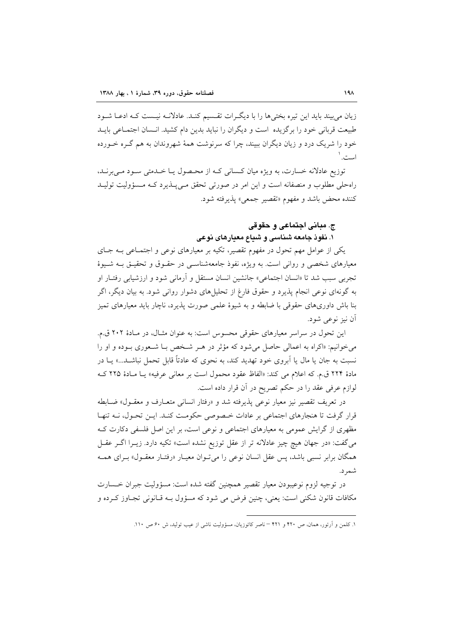زیان می بیند باید این تیره بختی ها را با دیگـرات تقـسیم کنـد. عادلانـه نیـست کـه ادعـا شـود طبیعت قربانی خود را برگزیده است و دیگران را نباید بدین دام کشید. انــسان اجتمــاعی بایــد خود را شریک درد و زیان دیگران ببیند، چرا که سرنوشت همهٔ شهروندان به هم گـره خــورده است. ۱

توزیع عادلانه خسارت، به ویژه میان کسانی کـه از محـصول یـا خـدمتی سـود مـیبرنـد، راهحلی مطلوب و منصفانه است و این امر در صورتی تحقق مـیپــذیرد کــه مـسؤولیت تولیــد كننده محض باشد و مفهوم «تقصير جمعي» پذيرفته شود.

## ج. مباني اجتماعي و حقوقي ۱. نفوذ جامعه شناسی و شیاع معیارهای نوعی

یکی از عوامل مهم تحول در مفهوم تقصیر، تکیه بر معیارهای نوعی و اجتمـاعی بــه جــای معیارهای شخصی و روانی است. به ویژه، نفوذ جامعهشناسـی در حقـوق و تحقیـق بــه شــیوهٔ تجربي سبب شد تا «انسان اجتماعي» جانشين انسان مستقل و آرماني شود و ارزشيابي رفتـار او به گونهای نوعی انجام پذیرد و حقوق فارغ از تحلیلهای دشوار روانی شود. به بیان دیگر، اگر بنا باش داوریهای حقوقی با ضابطه و به شیوهٔ علمی صورت پذیرد، ناچار باید معیارهای تمیز آن نيز نوعي شود.

این تحول در سراسر معیارهای حقوقی محسوس است: به عنوان مثـال، در مـادهٔ ۲۰۲ ق.م. می خوانیم: «اکراه به اعمالی حاصل می شود که مؤثر در هـر شـخص بـا شـعوری بـوده و او را نسبت به جان یا مال یا اَبروی خود تهدید کند، به نحوی که عادتاً قابل تحمل نباشـد...» یــا در مادة ٢٢۴ ق.م. كه اعلام مي كند: «الفاظ عقود محمول است بر معاني عرفيه» يـا مـادة ٢٢٥ كـه لوازم عرفی عقد را در حکم تصریح در آن قرار داده است.

در تعریف تقصیر نیز معیار نوعی پذیرفته شد و «رفتار انسانی متعـارف و معقــول» ضــابطه قرار گرفت تا هنجارهای اجتماعی بر عادات خصوصی حکومت کنـد. ایـن تحـول، نـه تنهـا مظهری از گرایش عمومی به معیارهای اجتماعی و نوعی است، بر این اصل فلسفی دکارت ک می گفت: «در جهان هیچ چیز عادلانه تر از عقل توزیع نشده است» تکیه دارد. زیــرا اگــر عقــل همگان برابر نسبی باشد، پس عقل انسان نوعی را می تـوان معیـار «رفتـار معقـول» بـرای همـه شمر د.

در توجيه لزوم نوعيبودن معيار تقصير همچنين گفته شده است: مسؤوليت جبران خـسارت مکافات قانون شکنی است: یعنی، چنین فرض می شود که مسؤول بـه قـانونی تجـاوز کـرده و

١. كلمن و آرتور، همان، ص ۴۲۰ و ۴۲۱ – ناصر كاتوزيان، مسؤوليت ناشي از عيب توليد، ش ۶۰ ص ١١٠.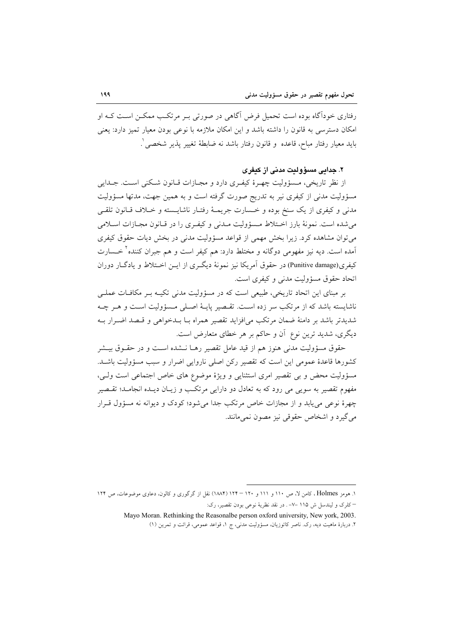رفتاری خودآگاه بوده است تحمیل فرض آگاهی در صورتی بـر مرتکـب ممکـن اسـت کـه او امکان دسترسی به قانون را داشته باشد و این امکان ملازمه با نوعی بودن معیار تمیز دارد: یعنی بايد معيار رفتار مباح، قاعده ۖ و قانون رفتار باشد نه ضابطهٔ تغيير پذير شخصي ٰ.

### ۲. جدایی مسؤولیت مدنی از کیفری

از نظر تاریخی، مــسؤولیت چهــرهٔ کیفــری دارد و مجــازات قــانون شــکنی اســت. جــدایی مسؤولیت مدنی از کیفری نیر به تدریج صورت گرفته است و به همین جهت، مدتها مسؤولیت مدنی و کیفری از یک سنخ بوده و خـسارت جریمـهٔ رفتـار ناشایـسته و خـلاف قـانون تلقـی می شده است. نمونهٔ بارز اختلاط مـسؤولیت مـدنی و کیفـری را در قـانون مجـازات اسـلامی می توان مشاهده کرد. زیرا بخش مهمی از قواعد مسؤولیت مدنی در بخش دیات حقوق کیفری آمده است. دیه نیز مفهومی دوگانه و مختلط دارد: هم کیفر است و هم جبران کننده<sup>۲</sup> خــسارت کیفری(Punitive damage) در حقوق آمریکا نیز نمونهٔ دیگری از این اختلاط و یادگیار دوران اتحاد حقوق مسؤوليت مدني و كيفري است.

بر مبنای این اتحاد تاریخی، طبیعی است که در مسؤولیت مدنی تکیـه بـر مکافـات عملـی ناشايسته باشد كه از مرتكب سر زده است. تقصير پايـهٔ اصـلى مـسؤوليت اسـت و هـر چـه شديدتر باشد بر دامنهٔ ضمان مرتکب می|فزايد تقصير همراه بـا بـدخواهی و قـصد اضـرار بـه دیگری، شدید ترین نوع آن و حاکم بر هر خطای متعارض است.

حقوق مسؤوليت مدنى هنوز هم از قيد عامل تقصير رهـا نــشده اسـت و در حقــوق بيــشر كشورها قاعدهٔ عمومی این است كه تقصیر ركن اصلی ناروایی اضرار و سبب مسؤولیت باشـد. مسؤولیت محض و بی تقصیر امری استثنایی و ویژهٔ موضوع های خاص اجتماعی است ولیی، مفهوم تقصیر به سویی می رود که به تعادل دو دارایی مرتکب و زیـان دیـده انجامـد؛ تقـصیر چهرهٔ نوعی می یابد و از مجازات خاص مرتکب جدا میشود؛ کودک و دیوانه نه مسؤول قـرار مي گيرد و اشخاص حقوقي نيز مصون نمي مانند.

۱. هومز Holmes ، کامن لا، ص ۱۱۰ و ۱۱۱ و ۱۲۰ = ۱۲۴ (۱۸۸۴) نقل از گرگوری و کالون، دعاوی موضوعات، ص ۱۲۴

<sup>–</sup>کلرک و لیندسل ش ۱۱۵ –۷– . در نقد نظریهٔ نوعی بودن تقصیر، رک:

Mayo Moran. Rethinking the Reasonalbe person oxford university, New york, 2003.

۲. دربارهٔ ماهیت دیه، رک. ناصر کاتوزیان، مسؤولیت مدنی، ج ۱، قواعد عمومی، قرائت و تمرین (۱)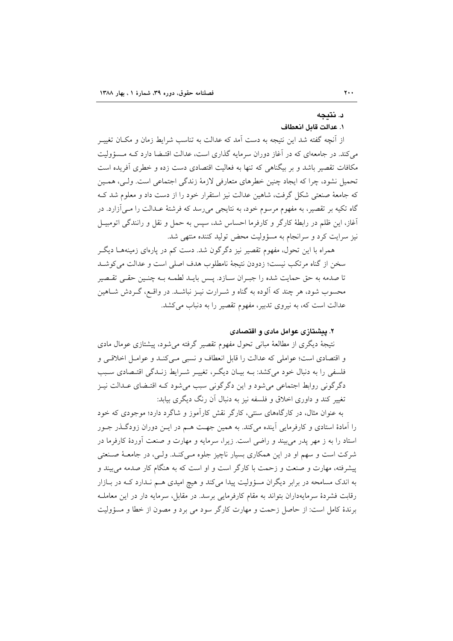#### د. نتىجە

#### ١. عدالت قامل انعطاف

از اّنچه گفته شد این نتیجه به دست اَمد که عدالت به تناسب شرایط زمان و مکـان تغییــر می کند. در جامعهای که در آغاز دوران سرمایه گذاری است، عدالت اقتـضا دارد کـه مـسؤولیت مکافات تقصیر باشد و بر بیگناهی که تنها به فعالیت اقتصادی دست زده و خطری آفریده است تحمیل نشود، چرا که ایجاد چنین خطرهای متعارفی لازمهٔ زندگی اجتماعی است. ولی، همـین که جامعهٔ صنعتی شکل گرفت، شاهین عدالت نیز استقرار خود را از دست داد و معلوم شد ک گاه تکیه بر تقصیر، به مفهوم مرسوم خود، به نتایجی میرسد که فرشتهٔ عـدالت را مـیآزارد. در آغاز، این ظلم در رابطهٔ کارگر و کارفرما احساس شد، سپس به حمل و نقل و رانندگی اتومبیـل نیز سرایت کرد و سرانجام به مسؤولیت محض تولید کننده منتهی شد.

همراه با این تحول، مفهوم تقصیر نیز دگرگون شد. دست کم در پارهای زمینههـا دیگـر سخن از گناه مرتکب نیست؛ زدودن نتیجهٔ نامطلوب هدف اصلی است و عدالت می کوشید تا صدمه به حق حمایت شده را جبـران سـازد. پـس بایـد لطمـه بـه چنـین حقـی تقـصیر محسوب شود، هر چند که آلوده به گناه و شـرارت نیــز نباشــد. در واقــع، گــردش شــاهین عدالت است که، به نیروی تدبیر، مفهوم تقصیر را به دنباب می کشد.

## ۲. پېشتازي غوامل مادي و اقتصادي

نتیجهٔ دیگری از مطالعهٔ مبانی تحول مفهوم تقصیر گرفته میشود، پیشتازی عومال مادی و اقتصادي است؛ عواملي كه عدالت را قابل انعطاف و نسبي مـيكنـد و عوامـل اخلاقـي و .<br>فلسفی را به دنبال خود میکشد: بــه بیــان دیگــر، تغییــر شــرایط زنــدگی اقتــصادی ســبب دگرگونی روابط اجتماعی میشود و این دگرگونی سبب میشود کـه اقتـضای عـدالت نیـز تغییر کند و داوری اخلاق و فلسفه نیز به دنبال آن رنگ دیگری بیابد:

به عنوان مثال، در کارگاههای سنتی، کارگر نقش کارآموز و شاگرد دارد؛ موجودی که خود را آمادهٔ استادی و کارفرمایی آینده میکند. به همین جهت هـم در ایــن دوران زودگــذر جــور استاد را به ز مهر پدر میبیند و راضی است. زیرا، سرمایه و مهارت و صنعت آوردهٔ کارفرما در شرکت است و سهم او در این همکاری بسیار ناچیز جلوه مے کنـد. ولـی، در جامعـهٔ صـنعتی پیشرفته، مهارت و صنعت و زحمت با کارگر است و او است که به هنگام کار صدمه می بیند و به اندک مسامحه در برابر دیگران مسؤولیت پیدا میکند و هیچ امیدی هــم نــدارد کــه در بــازار رقابت فشردهٔ سرمایهداران بتواند به مقام کارفرمایی برسد. در مقابل، سرمایه دار در این معاملـه برندهٔ کامل است: از حاصل زحمت و مهارت کارگر سود می برد و مصون از خطا و مسؤولیت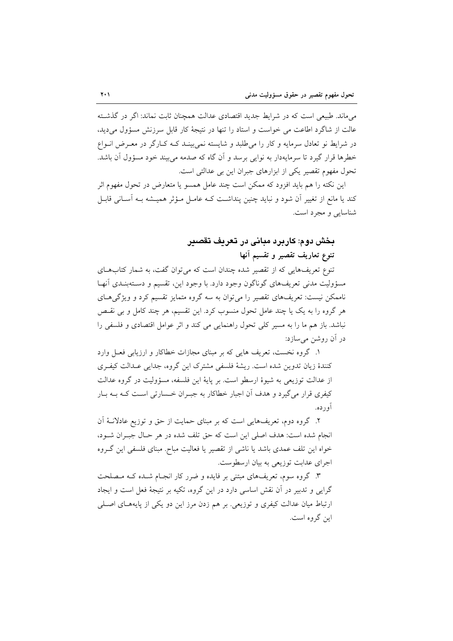می ماند. طبیعی است که در شرایط جدید اقتصادی عدالت همچنان ثابت نماند: اگر در گذشته عالت از شاگرد اطاعت می خواست و استاد را تنها در نتیجهٔ کار قابل سرزنش مسؤول می دید، در شرایط نو تعادل سرمایه و کار را می طلبد و شایسته نمی بینـد کـه کـارگر در معـرض انـواع خطرها قرار گیرد تا سرمایهدار به نوایی برسد و آن گاه که صدمه می بیند خود مسؤول آن باشد. تحول مفهوم تقصیر یکی از ابزارهای جبران این بی عدالتی است.

این نکته را هم باید افزود که ممکن است چند عامل همسو یا متعارض در تحول مفهوم اثر کند یا مانع از تغییر اَن شود و نباید چنین پنداشت کـه عامـل مـؤثر همیـشه بـه اَسـانـی قابـل شناسایی و مجرد است.

## بخش دوم: کاربرد مبانی در تعریف تقصیر تنوع تعاريف تقصير و تقسيم آنها

تنوع تعریفهایی که از تقصیر شده چندان است که می توان گفت، به شمار کتابهای مسؤوليت مدني تعريفهاي گوناگون وجود دارد. با وجود اين، تقسيم و دسـتهبنـدي آنهـا ناممکن نیست: تعریفهای تقصیر را میتوان به سه گروه متمایز تقسیم کرد و ویژگیهای هر گروه را به یک یا چند عامل تحول منسوب کرد. این تقسیم، هر چند کامل و بی نقسص نباشد. باز هم ما را به مسیر کلی تحول راهنمایی می کند و اثر عوامل اقتصادی و فلسفی را در اَن روشن می سازد:

۱. گروه نخست، تعریف هایی که بر مبنای مجازات خطاکار و ارزیابی فعـل وارد كنندهٔ زيان تدوين شده است. ريشهٔ فلسفي مشترک اين گروه، جدايي عـدالت كيفـري از عدالت توزیعی به شیوهٔ ارسطو است. بر پایهٔ این فلسفه، مسؤولیت در گروه عدالت کیفری قرار می گیرد و هدف آن اجبار خطاکار به جبـران خـسارتی اسـت کـه بـه بـار آورده.

۲. گروه دوم، تعریفهایی است که بر مبنای حمایت از حق و توزیع عادلانـهٔ آن انجام شده است: هدف اصلی این است که حق تلف شده در هر حـال جبـران شــود، خواه این تلف عمدی باشد یا ناشی از تقصیر یا فعالیت مباح. مبنای فلسفی این گـروه اجرای عدایت توزیعی به بیان ارسطوست.

۳. گروه سوم، تعریفهای مبتنی بر فایده و ضرر کار انجـام شـده کـه مـصلحت گرایی و تدبیر در آن نقش اساسی دارد در این گروه، تکیه بر نتیجهٔ فعل است و ایجاد ارتباط میان عدالت کیفری و توزیعی. بر هم زدن مرز این دو یکی از پایههـای اصـلی اين گروه است.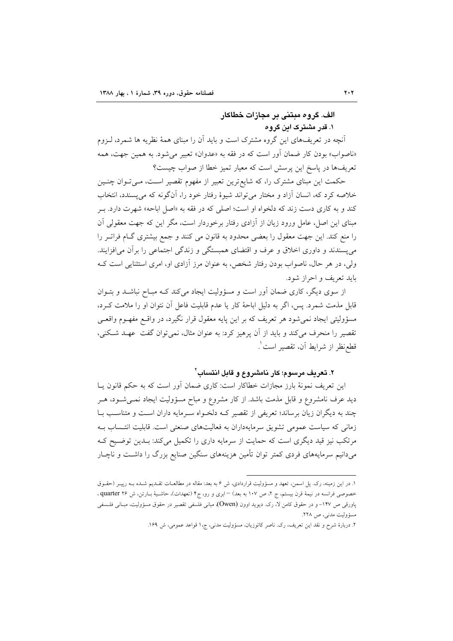## الف. گروه مبتنی بر مجازات خطاکار ۱. قدر مشترک این گروه

آنچه در تعریفهای این گروه مشترک است و باید آن را مبنای همهٔ نظریه ها شمرد، لـزوم «ناصواب» بودن كار ضمان آور است كه در فقه به «عدوان» تعبير مي شود. به همين جهت، همه تعریفها در پاسخ این پرسش است که معیار تمیز خطا از صواب چیست؟

حکمت این مبنای مشترک را، که شایع ترین تعبیر از مفهوم تقصیر است، مـی تـوان چنـین خلاصه کرد که، انسان أزاد و مختار میٍ تواند شیوهٔ رفتار خود را، اَنگونه که میٍپسندد، انتخاب کند و به کاری دست زند که دلخواه او است؛ اصلی که در فقه به «اصل اباحه» شهرت دارد. بـر مبنای این اصل، عامل ورود زیان از آزادی رفتار برخوردار است، مگر این که جهت معقولی آن را منع کند. این جهت معقول را بعضی محدود به قانون می کنند و جمع بیشتری گIم فرات ررا می پسندند و داوری اخلاق و عرف و اقتضای همبستگی و زندگی اجتماعی را برآن می افزایند. ولی، در هر حال، ناصواب بودن رفتار شخص، به عنوان مرز آزادی او، امری استثنایی است کـه بايد تعريف و احراز شود.

از سوی دیگر، کاری ضمان آور است و مسؤولیت ایجاد میکند کـه مبـاح نباشـد و بتـوان قابل مذمت شمرد. پس، اگر به دلیل اباحهٔ کار یا عدم قابلیت فاعل آن نتوان او را ملامت کـرد، مسؤولیتی ایجاد نمیشود هر تعریف که بر این پایه معقول قرار نگیرد، در واقــع مفهــوم واقعــی تقصیر را منحرف میکند و باید از آن پرهیز کرد: به عنوان مثال، نمی توان گفت عهـد شـکنی، قطعنظر از شرايط آن، تقصير است ْ.

### ۲. تعریف مرسوم؛ کار نامشروع و قابل انتساب ٌ

این تعریف نمونهٔ بارز مجازات خطاکار است: کاری ضمان أور است که به حکم قانون یـا دید عرف نامشروع و قابل مذمت باشد. از کار مشروع و مباح مسؤولیت ایجاد نمــیشــود، هــر چند به دیگران زیان برساند؛ تعریفی از تقصیر ک دلخـواه سـرمایه داران اسـت و متناسـب بـا زمانی که سیاست عمومی تشویق سرمایهداران به فعالیتهای صنعتی است. قابلیت انتـساب بـه مرتکب نیز قید دیگری است که حمایت از سرمایه داری را تکمیل میکند: بـدین توضـیح کـه میدانیم سرمایههای فردی کمتر توان تأمین هزینههای سنگین صنایع بزرگ را داشت و ناچـار

١. در اين زمينه، رک. پل اسمن، تعهد و مسؤوليت قراردادي، ش ۶ به بعد: مقاله در مطالعـات تقـديم شـده بـه رپيــر (حقــوق خصوصی فرانسه در نیمهٔ قرن بیستم، ج ۲، ص ۱۰۷ به بعد) –ابری و رو، ج۴ (تعهدات)، حاشـیهٔ بـارتن، ش ۲۶ quarter، ، پاورقی ص ۱۴۷- و در حقوق کامن لا، رک. دیوید اوون (Owen)، مبانی فلسفی تقصیر در حقوق مسؤولیت، مبـانی فلـسفی مسؤوليت مدني، ص ٢٢٨.

۲. دربارهٔ شرح و نقد این تعریف، رک. ناصر کاتوزیان، مسؤولیت مدنی، ج، ۱ قواعد عمومی، ش ۱۶۹.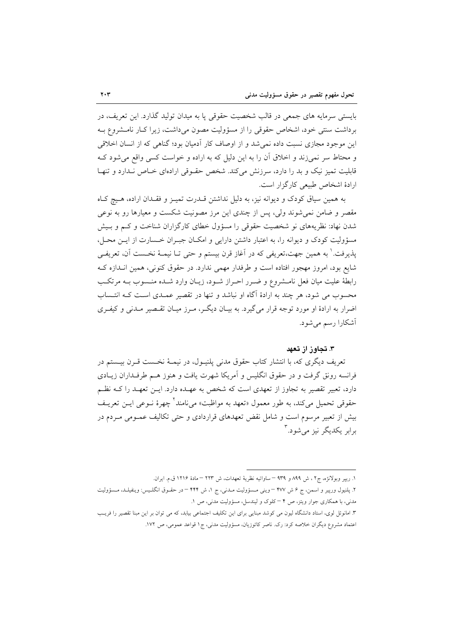بایستی سرمایه های جمعی در قالب شخصیت حقوقی یا به میدان تولید گذارد. این تعریف، در بر داشت سنتی خود، اشخاص حقوقی را از مسؤولیت مصون می داشت، زیرا کـار نامـشروع بـه این موجود مجازی نسبت داده نمی شد و از اوصاف کار آدمیان بود؛ گناهی که از انسان اخلاقی و محتاط سر نمیزند و اخلاق آن را به این دلیل که به اراده و خواست کسی واقع میشود ک قابلیت تمیز نیک و بد را دارد، سرزنش میکند. شخص حقـوقی ارادهای خـاص نـدارد و تنهـا ارادهٔ اشخاص طبیعی کارگزار است.

به همین سیاق کودک و دیوانه نیز، به دلیل نداشتن قـدرت تمیـز و فقـدان اراده، هـیچ کـاه مقصر و ضامن نمی شوند ولی، پس از چندی این مرز مصونیت شکست و معیارها رو به نوعی شدن نهاد: نظریههای نو شخصیت حقوقی را مسؤول خطای کارگزاران شناخت و کـم و بـیش مسؤولیت کودک و دیوانه را، به اعتبار داشتن دارایی و امکان جبـران خـسارت از ایـن محـل، يذيرفت.' به همين جهت،تعريفي كه در أغاز قرن بيستم و حتى تــا نيمــهٔ نخــست أن، تعريفــي شایع بود، امروز مهجور افتاده است و طرفدار مهمی ندارد. در حقوق کنونی، همین انـدازه کـه رابطهٔ علیت میان فعل نامـشروع و ضـرر احـراز شـود، زیـان وارد شـده منـسوب بـه مرتکـب محسوب می شود، هر چند به ارادهٔ آگاه او نباشد و تنها در تقصیر عمـدی اسـت کـه انتـساب اضرار به ارادهٔ او مورد توجه قرار می گیرد. به بیـان دیگـر، مـرز میـان تقـصیر مـدنی و کیفـری آشکارا رسم می شود.

#### ۳. تجاوز از تعهد

تعریف دیگری که، با انتشار کتاب حقوق مدنی پلنیـول، در نیمـهٔ نخـست قــرن بیــستم در فرانسه رونق گرفت و در حقوق انگلیس و آمریکا شهرت یافت و هنوز هـم طرفـداران زیـادی دارد، تعبیر تقصیر به تجاوز از تعهدی است که شخص به عهــده دارد. ایــن تعهــد را کــه نظــم حقوقي تحميل مي كند، به طور معمول «تعهد به مواظبت» مي نامند <sup>1</sup> چهرهٔ نــوعي ايــن تعريــف بیش از تعبیر مرسوم است و شامل نقض تعهدهای قراردادی و حتی تکالیف عمـومی مـردم در برابر یکدیگر نیز می شود.<sup>۳</sup>

١. ريير وبولانژه، ج٢ ، ش ٨٩٩ و ٩٣٩ – ساواتيه نظرية تعهدات، ش ٢٢٣ – مادة ١٢١۶ ق.م. ايران.

- ۲. پلنیول ورپیر و اسمن، ج ۶ ش ۴۷۷ –وینی مـسؤولیت مـدنی، ج ۱، ش ۴۴۴ –در حقـوق انگلـیس: وینفیلـد، مـسؤولیت مدنی، با همکاری جوار ویتز، ص ۴ –کلوک و لیندسل، مسؤولیت مدنی، ص ۱.
- ۳. امانوئل لوی، استاد دانشگاه لیون می کوشد مبنایی برای این تکلیف اجتماعی بیابد، که می توان بر این مبنا تقصیر را فریـب اعتماد مشروع دیگران خلاصه کرد: رک. ناصر کاتوزیان، مسؤولیت مدنی، ج۱ قواعد عمومی، ص ۱۷۲.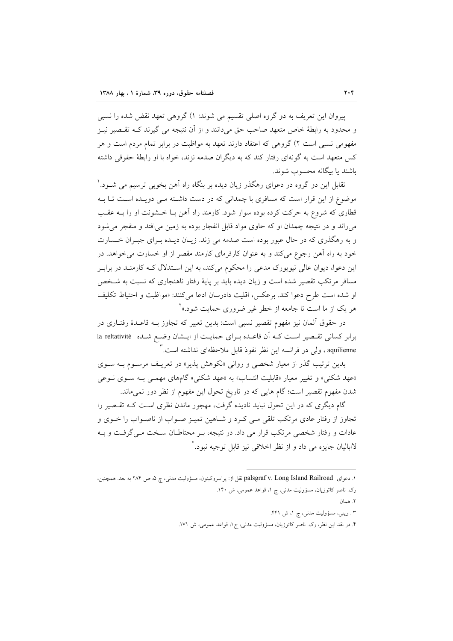پیروان این تعریف به دو گروه اصلی تقسیم می شوند: ۱) گروهی تعهد نقض شده را نسبی و محدود به رابطهٔ خاص متعهد صاحب حق میدانند و از آن نتیجه می گیرند کـه تقـصیر نیـز مفهومی نسبی است ۲) گروهی که اعتقاد دارند تعهد به مواظبت در برابر تمام مردم است و هر کس متعهد است به گونهای رفتار کند که به دیگران صدمه نزند، خواه با او رابطهٔ حقوقی داشته باشند یا بیگانه محسوب شوند.

تقابل این دو گروه در دعوای رهگذر زیان دیده بر بنگاه راه آهن بخوبی ترسیم می شــود. ٰ موضوع از این قرار است که مسافری با چمدانی که در دست داشته مـی دویـده اسـت تـا بـه قطاری که شروع به حرکت کرده بوده سوار شود. کارمند راه آهن بـا خـشونت او را بـه عقـب می راند و در نتیجه چمدان او که حاوی مواد قابل انفجار بوده به زمین می افتد و منفجر می شود و به رهگذري كه در حال عبور بوده است صدمه مي زند. زيـان ديـده بـراي جبـران خـسارت خود به راه آهن رجوع مي كند و به عنوان كارفرماي كارمند مقصر از او خسارت مي خواهد. در این دعوا، دیوان عالی نیویورک مدعی را محکوم میکند، به این اسـتدلال کــه کارمنــد در برابـر مسافر مرتکب تقصیر شده است و زیان دیده باید بر پایهٔ رفتار ناهنجاری که نسبت به شـخص او شده است طرح دعوا كند. برعكس، اقليت دادرسان ادعا مى كنند: «مواظبت و احتياط تكليف هر یک از ما است تا جامعه از خطر غیر ضروری حمایت شود.»<sup>۲</sup>

در حقوق آلمان نیز مفهوم تقصیر نسبی است: بدین تعبیر که تجاوز بـه قاعـدهٔ رفتـاری در برابر کسانی تقـصیر اسـت کـه اَن قاعـده بـرای حمایـت از ایــشان وضـع شــده la reltativité aquilienne ، ولي در فرانسه اين نظر نفوذ قابل ملاحظهاي نداشته است. ٌ

بدین ترتیب گذر از معیار شخصی و روانی «نکوهش پذیر» در تعریـف مرسـوم بــه ســوی «عهد شکنی» و تغییر معیار «قابلیت انتساب» به «عهد شکنی» گامهای مهمـی بـه سـوی نـوعی شدن مفهوم تقصیر است؛ گام هایی که در تاریخ تحول این مفهوم از نظر دور نمی ماند.

گام دیگری که در این تحول نباید نادیده گرفت، مهجور ماندن نظری است کـه تقـصیر را تجاوز از رفتار عادی مرتکب تلقی مـی کـرد و شـاهین تمیـز صـواب از ناصـواب را خــوی و عادات و رفتار شخصی مرتکب قرار می داد. در نتیجه، بـر محتاطـان سـخت مـی گرفـت و بـه لااباليان جايزه مي داد و از نظر اخلاقي نيز قابل توجيه نبود.

٢. همان

۳. وینی، مسؤولیت مدنی، ج ۱، ش ۴۴۱.

۴. در نقد این نظر، رک. ناصر کاتوزیان، مسؤولیت مدنی، ج۱، قواعد عمومی، ش ۱۷۱.

١. دعواي palsgraf v. Long Island Railroad نقل از: پراسروكيتون، مسؤوليت مدني، چ ۵، ص ٢٨۴ به بعد. همچنين، رک. ناصر کاتوزیان، مسؤولیت مدنی، ج ۱، قواعد عمومی، ش ۱۴۰.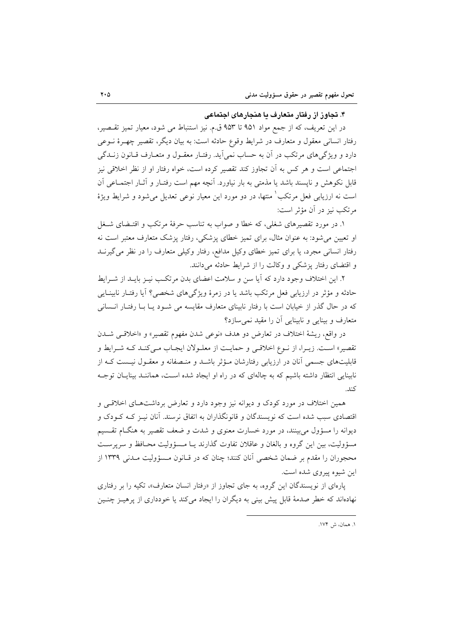#### ۴. تجاوز از رفتار متعارف یا هنجارهای اجتماعی

در این تعریف، که از جمع مواد ۹۵۱ تا ۹۵۳ ق.م. نیز استنباط می شود، معیار تمیز تقسصیر، رفتار انسانی معقول و متعارف در شرایط وقوع حادثه است: به بیان دیگر، تقصیر چهـرهٔ نــوعی دارد و ویژگی های مرتکب در آن به حساب نمی آید. رفتـار معقـول و متعـارف قـانون زنــدگی اجتماعی است و هر کس به آن تجاوز کند تقصیر کرده است، خواه رفتار او از نظر اخلاقی نیز قابل نکوهش و ناپسند باشد یا مذمتی به بار نیاورد. آنچه مهم است رفتـار و آثـار اجتمـاعی آن است نه ارزیابی فعل مرتکب ٰ منتها، در دو مورد این معیار نوعی تعدیل می شود و شرایط ویژهٔ مرتکب نیز در آن مؤثر است:

۱. در مورد تقصیرهای شغلی، که خطا و صواب به تناسب حرفهٔ مرتکب و اقتـضای شـغل او تعیین می شود: به عنوان مثال، برای تمیز خطای پزشکی، رفتار پزشک متعارف معتبر است نه رفتار انسانی مجرد، یا برای تمیز خطای وکیل مدافع، رفتار وکیلی متعارف را در نظر می گیرنــد و اقتضای رفتار پزشکی و وکالت را از شرایط حادثه می دانند.

۲. این اختلاف وجود دارد که آیا سن و سلامت اعضای بدن مرتکب نیـز بایـد از شـرایط حادثه و مؤثر در ارزیابی فعل مرتکب باشد یا در زمرهٔ ویژگیهای شخصی؟ آیا رفتـار نابینـایی که در حال گذر از خیابان است با رفتار نابینای متعارف مقایسه می شـود یـا بـا رفتـار انـسانی متعارف و بینایی و نابینایی آن را مقید نمی سازد؟

در واقع، ريشة اختلاف در تعارض دو هدف «نوعي شدن مفهوم تقصير» و «اخلاقـي شــدن تقصیر» است. زیـرا، از نـوع اخلاقـی و حمایـت از معلـولان ایجـاب مـیکنـد کـه شـرایط و قابلیتهای جسمی أنان در ارزیابی رفتارشان مـؤثر باشــد و منـصفانه و معقــول نیــست کــه از نابینایی انتظار داشته باشیم که به چالهای که در راه او ایجاد شده است، هماننـد بینایـان توجـه كند.

همین اختلاف در مورد کودک و دیوانه نیز وجود دارد و تعارض برداشتهای اخلاقی و اقتصادی سبب شده است که نویسندگان و قانونگذاران به اتفاق نرسند. آنان نیـز کـه کـودک و دیوانه را مسؤول میبینند، در مورد خسارت معنوی و شدت و ضعف تقصیر به هنگــام تقــسیم مسؤوليت، بين اين گروه و بالغان و عاقلان تفاوت گذارند يـا مـسؤوليت محـافظ و سريرسـت محجوران را مقدم بر ضمان شخصی آنان کنند؛ چنان که در قـانون مـسؤولیت مـدنی ۱۳۳۹ از این شیوه پیروی شده است.

پارهای از نویسندگان این گروه، به جای تجاوز از «رفتار انسان متعارف»، تکیه را بر رفتاری نهادهاند که خطر صدمهٔ قابل پیش بینی به دیگران را ایجاد می کند یا خودداری از پرهیـز چنـین

١. همان، ش ١٧۴.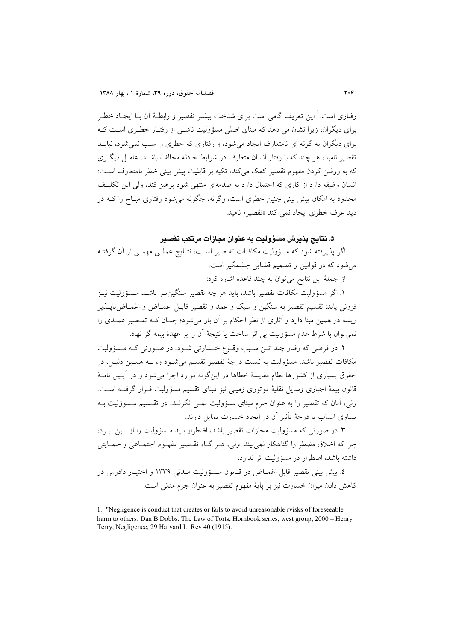رفتاري است.' اين تعريف گامي است براي شناخت بيشتر تقصير و رابطـهٔ اَن بــا ايجــاد خطـر برای دیگران، زیرا نشان می دهد که مینای اصلی مسؤولت ناشبی از رفتیار خطبری است کیه برای دیگران به گونه ای نامتعارف ایجاد می شود، و رفتاری که خطری را سبب نمی شود، نبایــد تقصیر نامید، هر چند که با رفتار انسان متعارف در شرایط حادثه مخالف باشـد. عامـل دیگـری که به روشن کردن مفهوم تقصیر کمک میکند، تکیه بر قابلیت پیش بینی خطر نامتعارف است: انسان وظیفه دارد از کاری که احتمال دارد به صدمهای منتهی شود پرهیز کند، ولی این تکلیف محدود به امکان پیش بینی چنین خطری است، وگرنه، چگونه می شود رفتاری مبـاح را کــه در ديد عرف خطري ايجاد نمي كند «تقصير» ناميد.

## ۵. نتايج پذيرش مسؤوليت به عنوان مجازات مرتكب تقصير

اگر پذیرفته شود که مسؤولیت مکافـات تقـصیر اسـت، نتـایج عملـی مهمـی از آن گرفتـه می شود که در قوانین و تصمیم قضایی چشمگیر است.

از جملهٔ این نتایج می توان به چند قاعده اشاره کرد:

١. اگر مسؤوليت مكافات تقصير باشد، بايد هر چه تقصير سنگينتـر باشـد مـسؤوليت نيـز فزوني يابد: تقسيم تقصير به سنگين و سبک و عمد و تقصير قابـل اغمــاض و اغمــاضiايــذير ریشه در همین مبنا دارد و آثاری از نظر احکام بر آن بار می شود؛ چنــان کــه تقــصیر عمــدی را نمي توان با شرط عدم مسؤوليت بي اثر ساخت يا نتيجهٔ آن را بر عهدهٔ بيمه گر نهاد.

۲. در فرضی که رفتار چند تـن سـبب وقـوع خـسارتی شـود، در صـورتی کـه مـسؤوليت مکافات تقصیر باشد، مسؤولیت به نسبت درجهٔ تقصیر تقسیم می شـود و، بــه همـین دلیـل، در حقوق بسیاری از کشورها نظام مقایسهٔ خطاها در اینگونه موارد اجرا می شود و در آیـین نامـهٔ قانون بیمهٔ اجباری وسایل نقلیهٔ موتوری زمینی نیز مبنای تقسیم مسؤولیت قـرار گرفتــه اســت. ولی، آنان که تقصیر را به عنوان جرم مبنای مسؤولیت نمـی نگرنــد، در تقـسیم مـسوؤلیت بـه تساوی اسیاب یا درجهٔ تأثیر آن در ایجاد خسارت تمایل دارند.

۳. در صورتی که مسؤولیت مجازات تقصیر باشد، اضطرار باید مـسؤولیت را از بـین ببـرد، چرا که اخلاق مضطر را گناهکار نمی بیند. ولی، هـر گـاه تقـصیر مفهـوم اجتمـاعی و حمـایتی داشته باشد، اضطرار در مسؤوليت اثر ندارد.

٤. پیش بینی تقصیر قابل اغمیاض در قیانون مسئوولیت میدنی ۱۳۳۹ و اختیبار دادرس در كاهش دادن ميزان خسارت نيز بر پاية مفهوم تقصير به عنوان جرم مدنى است.

<sup>1. &</sup>quot;Negligence is conduct that creates or fails to avoid unreasonable rvisks of foreseeable harm to others: Dan B Dobbs. The Law of Torts, Hornbook series, west group, 2000 - Henry Terry, Negligence, 29 Harvard L. Rev 40 (1915).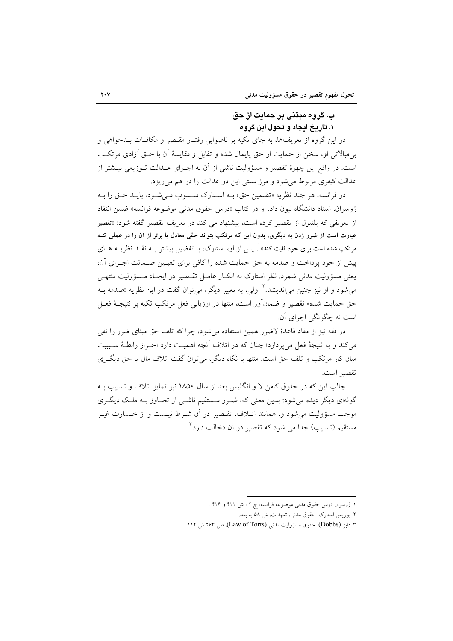## ب. گروه مبتنی بر حمایت از حق ۰. تاریخ ایجاد و تحول این گروه

در این گروه از تعریفها، به جای تکیه بر ناصوابی رفتـار مقـصر و مکافـات بــدخواهی و بی مبالاتی او، سخن از حمایت از حق پایمال شده و تقابل و مقایسهٔ آن با حــق اَزادی مرتکـب است. در واقع این چهرهٔ تقصیر و مسؤولیت ناشی از آن به اجـرای عـدالت تـوزیعی بیــشتر از عدالت کیفری مربوط می شود و مرز سنتی این دو عدالت را در هم می ریزد.

در فرانسه، هر چند نظريه «تضمين حق» بـه اسـتارك منـسوب مـيشـود، بايـد حـق را بـه ژوسران، استاد دانشگاه لیون داد. او در کتاب «درس حقوق مدنی موضوعه فرانسه» ضمن انتقاد از تعریفی که پلنیول از تقصیر کرده است، پیشنهاد می کند در تعریف تقصیر گفته شود: «تقصیر عبارت است از ضرر زدن به دیگری، بدون این که مرتکب بتواند حقی معادل یا برتر از آن را در عملی ک مرتکب شده است برای خود ثابت کند» ْ. پس از او، استارک، با تفضیل بیشتر بــه نقــد نظریــه هــای یش از خود برداخت و صدمه به حق حمایت شده را کافی برای تعبین ضـمانت اجـرای آن، یعنی مسؤولیت مدنی شمرد. نظر استارک به انکـار عامـل تقـصیر در ایجـاد مـسؤولیت منتهـی می شود و او نیز چنین می(ندیشد.<sup>۲</sup> ولی، به تعبیر دیگر، می توان گفت در این نظریه «صدمه بـه حق حمایت شده» تقصیر و ضمانآور است، منتها در ارزیابی فعل مرتکب تکیه بر نتیجـهٔ فعـل است نه چگونگی اجرای آن.

در فقه نیز از مفاد قاعدهٔ لاضرر همین استفاده میشود، چرا که تلف حق مبنای ضرر را نفی می کند و به نتیجهٔ فعل می پردازد؛ چنان که در اتلاف آنچه اهمیت دارد احـراز رابطـهٔ سـببیت میان کار مرتکب و تلف حق است. منتها با نگاه دیگر، می توان گفت اتلاف مال یا حق دیگر ی تقصير است.

جالب این که در حقوق کامن لا و انگلیس بعد از سال ۱۸۵۰ نیز تمایز اتلاف و تسبیب بـه گونهای دیگر دیده میشود: بدین معنی که، ضـرر مـستقیم ناشـی از تجـاوز بـه ملـک دیگـری موجب مسؤوليت مي شود و، همانند اتـلاف، تقـصير در آن شـرط نيـست و از خـسارت غيـر مستقیم (تسبیب) جدا می شود که تقصیر در آن دخالت دارد<sup>۳</sup>

١. ژوسران درس حقوق مدنی موضوعه فرانسه، ج ٢ ، ش ۴۲۲ و ۴۲۶ .

۲. بوریس استارک، حقوق مدنی، تعهدات، ش ۵۸ به بعد.

۳. دابز (Dobbs)، حقوق مسؤوليت مدنى (Law of Torts)، ص ۲۶۳ ش ۱۱۲.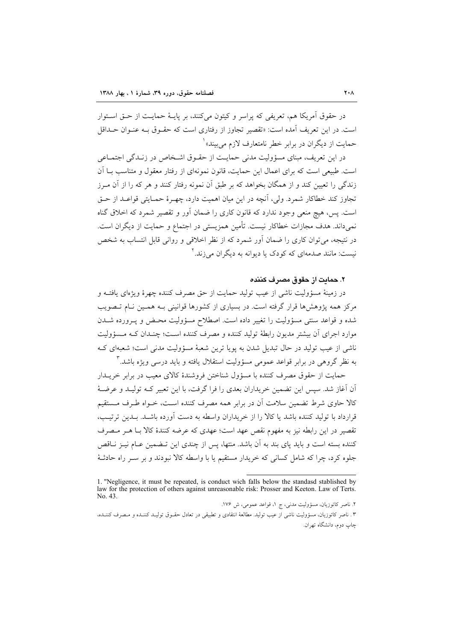در حقوق آمريكا هم، تعريفي كه پراسر و كيتون مي كنند، بر پايـهٔ حمايـت از حـق اسـتوار است. در این تعریف آمده است: «تقصیر تجاوز از رفتاری است که حقبوق بـه عنبوان حــداقل حمات از دیگران در برابر خطر نامتعارف لازم می بیند»<sup>۱</sup>

در این تعریف، مبنای مسؤولیت مدنی حمایـت از حقـوق اشـخاص در زنـدگی اجتمـاعی است. طبیعی است که برای اعمال این حمایت، قانون نمونهای از رفتار معقول و متناسب بــا آن زندگی را تعیین کند و از همگان بخواهد که بر طبق آن نمونه رفتار کنند و هر که را از آن مـرز تجاوز كند خطاكار شمرد. ولي، آنچه در اين ميان اهميت دارد، چهـرۀ حمـايتي قواعـد از حـق است. پس، هیچ منعی وجود ندارد که قانون کاری را ضمان آور و تقصیر شمرد که اخلاق گناه نمي،داند. هدف مجازات خطاكار نيست. تأمين همزيستي در اجتماع و حمايت از ديگران است. در نتیجه، میتوان کاری را ضمان آور شمرد که از نظر اخلاقی و روانی قابل انتساب به شخص نیست: مانند صدمهای که کودک یا دیوانه به دیگران می زند. ۲

### ٢. حمايت از حقوق مصر ف كننده

در زمینهٔ مسؤولیت ناشی از عیب تولید حمایت از حق مصرف کننده چهرهٔ ویژهای یافتـه و مرکز همه پژوهشها قرار گرفته است. در بسیاری از کشورها قوانینی بـه همـین نـام تـصویب شده و قواعد سنتی مسؤولیت را تغییر داده است. اصطلاح مسؤولیت محـض و پـرورده شــدن موارد اجرای آن بیشتر مدیون رابطهٔ تولید کننده و مصرف کننده است؛ چنـدان کـه مـسؤولیت ناشی از عیب تولید در حال تبدیل شدن به یویا ترین شعبهٔ مسؤولیت مدنی است؛ شعبهای ک به نظر گروهی در برابر قواعد عمومی مسؤولیت استقلال یافته و باید درسی ویژه باشد. ۳

حمایت از حقوق مصرف کننده با مسؤول شناختن فروشندهٔ کالای معیب در برابر خریــدار آن آغاز شد. سپس این تضمین خریداران بعدی را فرا گرفت، با این تعبیر کـه تولیـد و عرضـهٔ کالا حاوی شرط تضمین سلامت آن در برابر همه مصرف کننده است، خـواه طـرف مـستقبم قرارداد با توليد كننده باشد يا كالا را از خريداران واسطه به دست آورده باشــد. بــدين ترتيــب، تقصير در اين رابطه نيز به مفهوم نقص عهد است؛ عهدي كه عرضه كنندهٔ كالا بــا هــر مــصرف کننده بسته است و باید یای بند به آن باشد. منتها، پس از چندی این تـضمین عـام نیـز نــاقص جلوه کرد، چرا که شامل کسانی که خریدار مستقیم یا با واسطه کالا نبودند و بر سـر راه حادثـهٔ

٢. ناصر كاتوزيان، مسؤوليت مدني، ج ١، قواعد عمومي، ش ١٧۶. ۳. ناصر کاتوزیان، مسؤولیت ناشی از عیب تولید. مطالعهٔ انتقادی و تطبیقی در تعادل حقـوق تولیـد کننـده و مـصرف کننـده، چاپ دوم، دانشگاه تهران.

<sup>1. &</sup>quot;Negligence, it must be repeated, is conduct wich falls below the standasd stablished by law for the protection of others against unreasonable risk: Prosser and Keeton. Law of Terts. No. 43.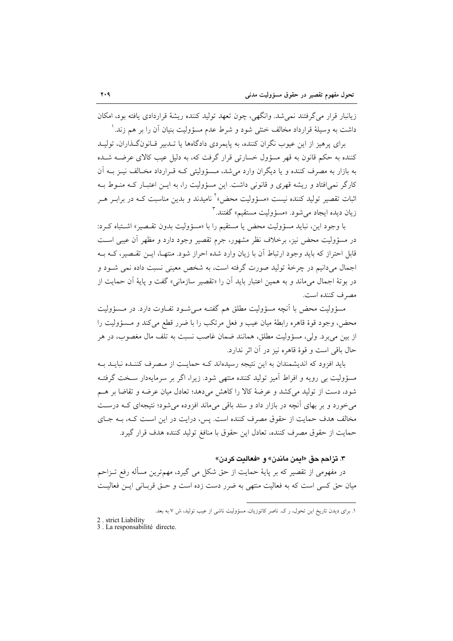زيانبار قرار مي گرفتند نمي شد. وانگهي، چون تعهد توليد كننده ريشهٔ قراردادي يافته بود، امكان داشت به وسیلهٔ قرارداد مخالف خنثی شود و شرط عدم مسؤولیت بنیان آن را بر هم زند. ٰ

برای پرهیز از این عیوب نگران کننده، به پایمردی دادگاهها یا تـدبیر قـانونگـذاران، تولیـد کننده به حکم قانون به قهر مسؤول خسارتی قرار گرفت که، به دلیل عیب کالای عرضــه شــده به بازار به مصرف کننده و یا دیگران وارد می شد، مـسؤولیتی کـه قـرارداد مخـالف نیــز بــه آن کارگر نمی!فتاد و ریشه قهری و قانونی داشت. این مسؤولیت را، به ایــن اعتبــار کــه منــوط بــه اثبات تقصیر تولید کننده نیست «مسؤولیت محض» کانامیدند و بدین مناسبت کــه در برابـر هــر زيان ديده ايجاد مي شود. «مسؤوليت مستقيم» گفتند.

با وجود اين، نبايد مسؤوليت محض يا مستقيم را با «مسؤوليت بدون تقصير» اشتباه كرد: در مسؤوليت محض نيز، برخلاف نظر مشهور، جرم تقصير وجود دارد و مظهر أن عيبي است قابل احتراز که باید وجود ارتباط آن با زیان وارد شده احراز شود. منتهـا، ایــن تقـصیر، کــه بــه اجمال میدانیم در چرخهٔ تولید صورت گرفته است، به شخص معینی نسبت داده نمی شـود و در بوتهٔ اجمال میماند و به همین اعتبار باید آن را «تقصیر سازمانی» گفت و پایهٔ آن حمایت از مصرف كننده است.

مسؤولیت محض با آنچه مسؤولیت مطلق هم گفتـه مـیشـود تفـاوت دارد. در مـسؤولیت محض، وجود قوهٔ قاهره رابطهٔ میان عیب و فعل مرتکب را با ضرر قطع می کند و مـسؤولیت را از بين ميبرد. ولي، مسؤوليت مطلق، همانند ضمان غاصب نسبت به تلف مال مغصوب، در هر حال باقي است و قوهٔ قاهره نيز در آن اثر ندارد.

باید افزود که اندیشمندان به این نتیجه رسیدهاند کـه حمایـت از مـصرف کننـده نبایـد بـه مسؤولیت بی رویه و افراط آمیز تولید کننده منتهی شود. زیرا، اگر بر سرمایهدار سخت گرفتـه شود، دست از تولید می کشد و عرضهٔ کالا را کاهش میدهد؛ تعادل میان عرضه و تقاضا بر هـم می خورد و بر بهای آنچه در بازار داد و ستد باقی میماند افزوده می شود؛ نتیجهای کـه درسـت مخالف هدف حمایت از حقوق مصرف کننده است. پس، درایت در این است کـه، بـه جـای حمايت از حقوق مصرف كننده، تعادل اين حقوق با منافغ توليد كننده هدف قرار گيرد.

#### ٣. تزاحم حق «ايمن ماندن» و «فعاليت كردن»

در مفهومی از تقصیر که بر پایهٔ حمایت از حق شکل می گیرد، مهمترین مسأله رفع تــزاحم میان حق کسی است که به فعالیت منتهی به ضرر دست زده است و حـق قربـانی ایـن فعالیـت

١. برای دیدن تاریخ این تحول، رک. ناصر کاتوزیان، مسؤولیت ناشی از عیب تولید، ش ٧ به بعد.

<sup>2.</sup> strict Liability

<sup>3.</sup> La responsabilité directe.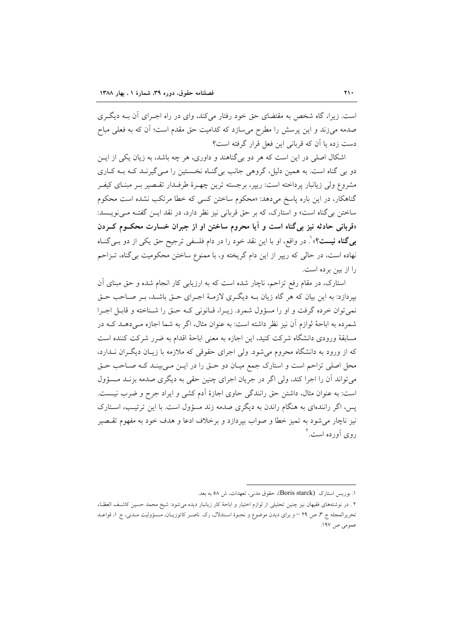است. زیرا، گاه شخص به مقتضای حق خود رفتار میکند، وای در راه اجـرای آن بــه دیگــری صدمه می;زند و این پرسش را مطرح میسازد که کدامیت حق مقدم است؛ آن که به فعلی مباح دست زده یا آن که قربانی این فعل قرار گرفته است؟

اشکال اصلی در این است که هر دو بی گناهند و داوری، هر چه باشد، به زیان یکی از ایــن دو بی گناه است. به همین دلیل، گروهی جانب بی گنـاه نخـستین را مـی گیرنـد کـه بـه کـاری مشروع ولي زيانبار پرداخته است: ريپر، برجسته ترين چهـرهٔ طرفـدار تقـصير بـر مبنـاي كيفـر گناهکار، در این باره پاسخ میدهد: «محکوم ساختن کسی که خطا مرتکب نشده است محکوم ساختن بي گناه است» و استارک، که بر حق قرباني نيز نظر دارد، در نقد ايـن گفتـه مـي نويـسد: «قربانی حادثه نیز بیگناه است و آیا محروم ساختن او از جبران خسارت محکـوم کــردن بی **گناه نیست؟**» ْ. در واقع، او با این نقد خود را در دام فلسفی ترجیح حق یکی از دو بـی گنــاه نهاده است، در حالي كه ريير از اين دام گريخته و، با ممنوع ساختن محكوميت بي گناه، تـزاحم را از بین بر ده است.

استارک، در مقام رفع تزاحم، ناچار شده است که به ارزیابی کار انجام شده و حق مبنای آن بیردازد: به این بیان که هر گاه زیان بـه دیگـری لازمـهٔ اجـرای حـق باشـد، بـر صـاحب حـق نمي توان خرده گرفت و او را مسؤول شمرد. زيـرا، قـانوني كـه حـق را شـناخته و قابـل اجـرا شمرده به اباحهٔ لوازم آن نیز نظر داشته است: به عنوان مثال، اگر به شما اجازه مـی دهــد کــه در مسابقهٔ ورودی دانشگاه شرکت کنید، این اجازه به معنی اباحهٔ اقدام به ضرر شرکت کننده است که از ورود به دانشگاه محروم میشود. ولی اجرای حقوقی که ملازمه با زیـان دیگـران نــدارد، محل اصلی تزاحم است و استارک جمع میـان دو حـق را در ایـن مـی بینـد کـه صـاحب حـق می تواند آن را اجرا کند، ولی اگر در جریان اجرای چنین حقی به دیگری صدمه بزنـد مـسؤول است: به عنوان مثال، داشتن حق رانندگی حاوی اجازهٔ اَدم کشی و ایراد جرح و ضرب نیست. یس، اگر رانندهای به هنگام راندن به دیگری صدمه زند مسؤول است. با این ترتیب، استارک نيز ناچار مي شود به تميز خطا و صواب بيردازد و برخلاف ادعا و هدف خود به مفهوم تقـصير روی آورده است.<sup>۲</sup>

۱. بوریس استارک (Boris starck)، حقوق مدنی، تعهدات، ش ۵۸ به بعد.

۲ ـ در نوشتههای فقیهان نیز چنین تحلیلی از لوازم اختیار و اباحهٔ کار زیانبار دیده می شود: شیخ محمد حسین کاشف العظـاء تحريرالمجله ج ٣، ص ٢٩ – و براي ديدن موضوع و نحـوهٔ اسـتدلال، رک. ناصـر کاتوزيـان، مـسؤوليت مـدني، ج ١، قواعـد عمومی ص ۱۹۷.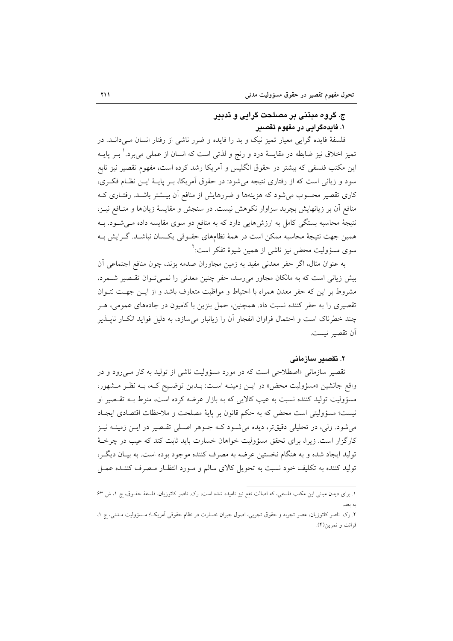## ج. گروه مبتنی بر مصلحت گرایی و تدبیر ۱. فایدهگرایی در مفهوم تقصیر

فلسفهٔ فایده گرایی معیار تمیز نیک و بد را فایده و ضرر ناشی از رفتار انسان مے دانـد. در تمیز اخلاق نیز ضابطه در مقایسهٔ درد و رنج و لذتی است که انسان از عملی می برد. ٰ بــر پایــه این مکتب فلسفی که بیشتر در حقوق انگلیس و آمریکا رشد کرده است، مفهوم تقصیر نیز تابع سود و زیانی است که از رفتاری نتیجه می شود: در حقوق آمریکا، بسر پایـهٔ ایــن نظـام فکــری، کاری تقصیر محسوب می شود که هزینهها و ضررهایش از منافع اّن بیــشتر باشــد. رفتــاری کــه منافع آن بر زیانهایش بچربد سزاوار نکوهش نیست. در سنجش و مقایسهٔ زیانها و منـافع نیـز، نتیجهٔ محاسبه بستگی کامل به ارزشهایی دارد که به منافع دو سوی مقایسه داده مـیشـود. بـه همین جهت نتیجهٔ محاسبه ممکن است در همهٔ نظامهای حقـوقی یکـسان نباشـد. گـرایش بـه سوی مسؤولیت محض نیز ناش<sub>ی</sub> از همین شیوهٔ تفکر است:<sup>۲</sup>

به عنوان مثال، اگر حفر معدنی مفید به زمین مجاوران صدمه بزند، چون منافع اجتماعی آن بیش زیانی است که به مالکان مجاور میرسد، حفر چنین معدنی را نمــیتـوان تقـصیر شــمرد، مشروط بر این که حفر معدن همراه با احتیاط و مواظبت متعارف باشد و از ایـن جهـت نتـوان تقصیری را به حفر کننده نسبت داد. همچنین، حمل بنزین با کامیون در جادههای عمومی، هـر چند خطرناک است و احتمال فراوان انفجار اَن را زیانبار میسازد، به دلیل فواید انکـار ناپــذیر آن تقصير نيست.

#### ۲. تقصىر سازمانى

تقصیر سازمانی «اصطلاحی است که در مورد مسؤولیت ناشی از تولید به کار مـی رود و در واقع جانشین «مسؤولیت محض» در ایــن زمینــه اســت: بــدین توضــیح کــه، بــه نظـر مــشهور، مسؤولیت تولید کننده نسبت به عیب کالایی که به بازار عرضه کرده است، منوط بـه تقـصیر او نيست؛ مسؤوليتي است محض كه به حكم قانون بر پايهٔ مصلحت و ملاحظات اقتصادي ايجـاد می شود. ولی، در تحلیلی دقیقتر، دیده می شود کـه جـوهر اصـلی تقـصیر در ایـن زمینــه نیـز کارگزار است. زیرا، برای تحقق مسؤولیت خواهان خسارت باید ثابت کند که عیب در چرخـهٔ توليد ايجاد شده و به هنگام نخستين عرضه به مصرف كننده موجود بوده است. به بيـان ديگـر، تولید کننده به تکلیف خود نسبت به تحویل کالای سالم و مـورد انتظـار مـصرف کننـده عمـل

١. برای دیدن مبانی این مکتب فلسفی، که اصالت نفع نیز نامیده شده است، رک. ناصر کاتوزیان، فلسفهٔ حقـوق، ج ١، ش ۶۳

۲. رک. ناصر کاتوزیان، عصر تجربه و حقوق تجربی، اصول جبران خسارت در نظام حقوقی اَمریک! مـسؤولیت مـدنی، ج ۱، قرائت و تمرين(۴).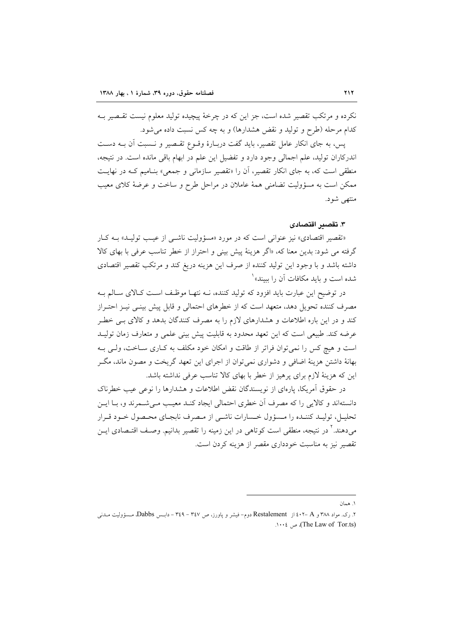نکرده و مرتکب تقصیر شده است، جز این که در چرخهٔ پیچیده تولید معلوم نیست تقـصیر بـه كدام مرحله (طرح و توليد و نقض هشدارها) و به چه كس نسبت داده مى شود.

پس، به جای انکار عامل تقصیر، باید گفت دربـارهٔ وقـوع تقـصیر و نـسبت آن بــه دسـت اندرکاران تولید، علم اجمالی وجود دارد و تفضیل این علم در ابهام باقی مانده است. در نتیجه، منطقی است که، به جای انکار تقصیر، آن را «تقصیر سازمانی و جمعی» بنـامیم کـه در نهایـت ممکن است به مسؤولیت تضامنی همهٔ عاملان در مراحل طرح و ساخت و عرضهٔ کلای معیب منتهى شود.

٣. تقصير اقتصادى

«تقصیر اقتصادی» نیز عنوانی است که در مورد «مسؤولیت ناش<sub>حی</sub> از عیب تولیـد» بـه کـار گرفته می شود: بدین معنا که، «اگر هزینهٔ پیش بینی و احتراز از خطر تناسب عرفی با بهای کالا داشته باشد و با وجود این تولید کننده از صرف این هزینه دریغ کند و مرتکب تقصیر اقتصادی شده است و باید مکافات آن را ببیند» <sup>۱</sup>

در توضیح این عبارت باید افزود که تولید کننده، نــه نتهـا موظـف اسـت کـالای سـالم بــه مصرف کننده تحویل دهد، متعهد است که از خطرهای احتمالی و قابل پیش بینـی نیـز احتـراز کند و در این باره اطلاعات و هشدارهای لازم را به مصرف کنندگان بدهد و کالای بـی خطـر عرضه كند. طبيعي است كه اين تعهد محدود به قابليت پيش بيني علمي و متعارف زمان توليـد است و هیچ کس را نمی توان فراتر از طاقت و امکان خود مکلف به کـاری سـاخت، ولـی بـه بهانهٔ داشتن هزینهٔ اضافی و دشواری نمی توان از اجرای این تعهد گریخت و مصون ماند، مگـر این که هزینهٔ لازم برای پرهیز از خطر با بهای کالا تناسب عرفی نداشته باشد.

در حقوق آمريكا، يارەاي از نويسندگان نقض اطلاعات و هشدارها را نوعي عيب خطرناک دانستهاند و كالايي را كه مصرف آن خطري احتمالي ايجاد كنـد معيـب مـي شـمرند و، بـا ايـن تحلیـل، تولیـد کننـده را مـسؤول خـسارات ناشـي از مـصرف نابجـاي محـصول خـود قـرار می دهند.' در نتیجه، منطقی است کو تاهی در این زمینه را تقصیر بدانیم. وصـف اقتـصادی ایــن تقصیر نیز به مناسبت خودداری مقصر از هزینه کردن است.

١. همان

۲. رک. مواد ۳۸۸ و Restalement از Restalement دوم– فیشر و پاورز، ص ۳٤٧ – ۳٤٩ – دابـس Dabbs، مــــئووليت مــدنـي . (The Law of Tor.ts)، ص ١٠٠٤.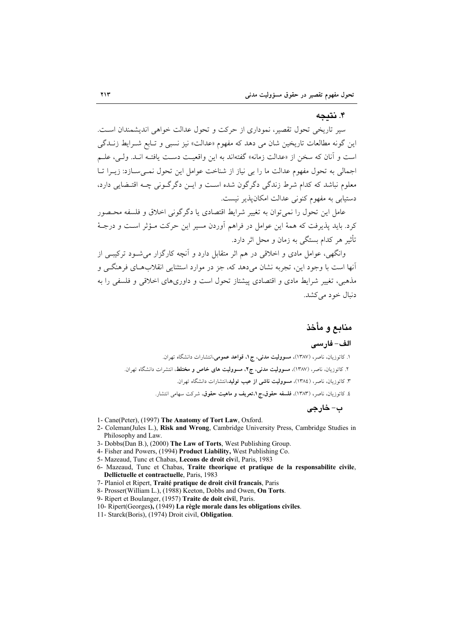#### ۴. نتىجە

سیر تاریخی تحول تقصیر، نموداری از حرکت و تحول عدالت خواهی اندیشمندان است. این گونه مطالعات تاریخین شان می دهد که مفهوم «عدالت» نیز نسبی و تـابع شـرایط زنــدگی است و آنان كه سخن از «عدالت زمانه» گفتهاند به اين واقعيت دست يافتـه انـد. ولـي، علـم اجمالی به تحول مفهوم عدالت ما را بی نیاز از شناخت عوامل این تحول نمبی سبازد: زیبرا تبا معلوم نباشد که کدام شرط زندگی دگرگون شده است و این دگر گـونی چـه اقتـضایی دارد، دستیابی به مفهوم کنونی عدالت امکان یذیر نست.

عامل این تحول را نمی توان به تغییر شرایط اقتصادی یا دگرگونی اخلاق و فلسفه محـصور کرد. باید پذیرفت که همهٔ این عوامل در فراهم آوردن مسیر این حرکت مـؤثر اسـت و درجـهٔ تأثیر هر کدام بستگی به زمان و محل اثر دارد.

وانگهی، عوامل مادی و اخلاقی در هم اثر متقابل دارد و آنچه کارگزار می شـود ترکیبـی از آنها است با وجود این، تجربه نشان می دهد که، جز در موارد استثنایی انقلابهای فرهنگی و مذهبی، تغییر شرایط مادی و اقتصادی پیشتاز تحول است و داوری،های اخلاقی و فلسفی را به دنبال خود مے کشد.

## منابع و مأخذ

#### الف- فارسى

۱. کاتوزیان، ناصر، (۱۳۸۷)، مس**وولیت مدنی، ج ۱. قواعد عمومی**،انتشارات دانشگاه تهران. ٢. كاتوزيان، ناصر، (١٣٨٧)، مسووليت مدنى، ج٢، مسووليت هاى خاص و مختلط، انتشرات دانشگاه تهران. ۳. کاتوزیان، ناصر، (١٣٨٤)، م<mark>سوولیت ناشی از عیب تولید</mark>،انتشارات دانشگاه تهران. ٤. كاتوزيان، ناصر، (١٣٨٣)، فلسفه حقوق،ج١،تعريف و ماهيت حقوق، شركت سهامي انتشار. ب- خارجي

- 1- Cane(Peter), (1997) The Anatomy of Tort Law, Oxford.
- 2- Coleman(Jules L.), Risk and Wrong, Cambridge University Press, Cambridge Studies in Philosophy and Law.
- 3- Dobbs(Dan B.), (2000) The Law of Torts, West Publishing Group.
- 4- Fisher and Powers, (1994) Product Liability, West Publishing Co.
- 5- Mazeaud, Tunc et Chabas, Lecons de droit civil, Paris, 1983
- 6- Mazeaud, Tunc et Chabas, Traite theorique et pratique de la responsabilite civile. Dellictuelle et contractuelle, Paris, 1983
- 7- Planiol et Ripert, Traité pratique de droit civil français, Paris
- 8- Prosser(William L.), (1988) Keeton, Dobbs and Owen, On Torts.
- 9- Ripert et Boulanger, (1957) Traite de doit civil, Paris.
- 10- Ripert(Georges), (1949) La règle morale dans les obligations civiles.
- 11- Starck(Boris), (1974) Droit civil. Obligation.